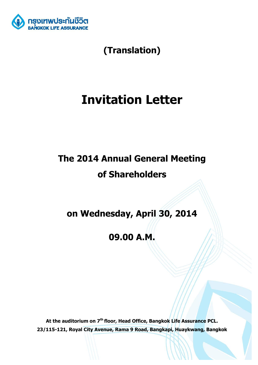

**(Translation)**

# **Invitation Letter**

# **The 2014 Annual General Meeting of Shareholders**

**on Wednesday, April 30, 2014**

**09.00 A.M.**

**At the auditorium on 7th floor, Head Office, Bangkok Life Assurance PCL. 23/115-121, Royal City Avenue, Rama 9 Road, Bangkapi, Huaykwang, Bangkok**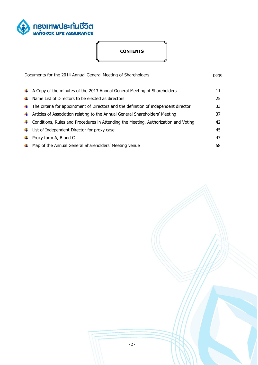

# **CONTENTS**

| Documents for the 2014 Annual General Meeting of Shareholders |                                                                                              | page |
|---------------------------------------------------------------|----------------------------------------------------------------------------------------------|------|
|                                                               | $\uparrow$ A Copy of the minutes of the 2013 Annual General Meeting of Shareholders          | 11   |
|                                                               | $\downarrow$ Name List of Directors to be elected as directors                               | 25   |
|                                                               | $\ddag$ The criteria for appointment of Directors and the definition of independent director | 33   |
|                                                               | $\ddag$ Articles of Association relating to the Annual General Shareholders' Meeting         | 37   |
|                                                               | $\ddag$ Conditions, Rules and Procedures in Attending the Meeting, Authorization and Voting  | 42   |
|                                                               | $\downarrow$ List of Independent Director for proxy case                                     | 45   |
|                                                               | $\downarrow$ Proxy form A, B and C                                                           | 47   |
|                                                               | $\downarrow$ Map of the Annual General Shareholders' Meeting venue                           | 58   |

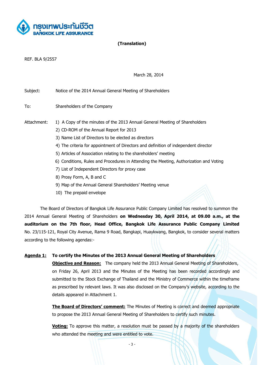

# **(Translation)**

REF. BLA 9/2557

March 28, 2014

Subject: Notice of the 2014 Annual General Meeting of Shareholders

To: Shareholders of the Company

Attachment: 1) A Copy of the minutes of the 2013 Annual General Meeting of Shareholders

- 2) CD-ROM of the Annual Report for 2013
- 3) Name List of Directors to be elected as directors
- 4) The criteria for appointment of Directors and definition of independent director
- 5) Articles of Association relating to the shareholders' meeting
- 6) Conditions, Rules and Procedures in Attending the Meeting, Authorization and Voting
- 7) List of Independent Directors for proxy case
- 8) Prosy Form, A, B and C
- 9) Map of the Annual General Shareholders' Meeting venue
- 10) The prepaid envelope

The Board of Directors of Bangkok Life Assurance Public Company Limited has resolved to summon the 2014 Annual General Meeting of Shareholders **on Wednesday 30, April 2014, at 09.00 a.m., at the auditorium on the 7th floor, Head Office, Bangkok Life Assurance Public Company Limited**  No. 23/115-121, Royal City Avenue, Rama 9 Road, Bangkapi, Huaykwang, Bangkok, to consider several matters according to the following agendas:-

#### **Agenda 1: To certify the Minutes of the 2013 Annual General Meeting of Shareholders**

**Objective and Reason:** The company held the 2013 Annual General Meeting of Shareholders, on Friday 26, April 2013 and the Minutes of the Meeting has been recorded accordingly and submitted to the Stock Exchange of Thailand and the Ministry of Commerce within the timeframe as prescribed by relevant laws. It was also disclosed on the Company's website, according to the details appeared in Attachment 1.

**The Board of Directors' comment:** The Minutes of Meeting is correct and deemed appropriate to propose the 2013 Annual General Meeting of Shareholders to certify such minutes.

**Voting:** To approve this matter, a resolution must be passed by a majority of the shareholders who attended the meeting and were entitled to vote.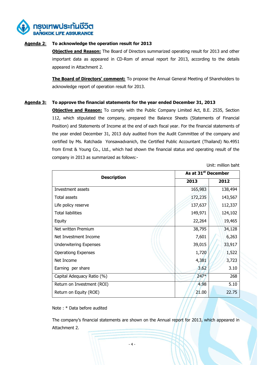

# **Agenda 2**: **To acknowledge the operation result for 2013**

**Objective and Reason:** The Board of Directors summarized operating result for 2013 and other important data as appeared in CD-Rom of annual report for 2013, according to the details appeared in Attachment 2.

**The Board of Directors' comment:** To propose the Annual General Meeting of Shareholders to acknowledge report of operation result for 2013.

# **Agenda 3: To approve the financial statements for the year ended December 31, 2013**

**Objective and Reason:** To comply with the Public Company Limited Act, B.E. 2535, Section 112, which stipulated the company, prepared the Balance Sheets (Statements of Financial Position) and Statements of Income at the end of each fiscal year. For the financial statements of the year ended December 31, 2013 duly audited from the Audit Committee of the company and certified by Ms. Ratchada Yonsawadvanich, the Certified Public Accountant (Thailand) No.4951 from Ernst & Young Co., Ltd., which had shown the financial status and operating result of the company in 2013 as summarized as follows:-

Unit: million baht

| <b>Description</b>            | As at 31 <sup>st</sup> December |         |  |
|-------------------------------|---------------------------------|---------|--|
|                               | 2013                            | 2012    |  |
| Investment assets             | 165,983                         | 138,494 |  |
| Total assets                  | 172,235                         | 143,567 |  |
| Life policy reserve           | 137,637                         | 112,337 |  |
| <b>Total liabilities</b>      | 149,971                         | 124,102 |  |
| Equity                        | 22,264                          | 19,465  |  |
| Net written Premium           | 38,795                          | 34,128  |  |
| Net Investment Income         | 7,601                           | 6,263   |  |
| <b>Underwitering Expenses</b> | 39,015                          | 33,917  |  |
| <b>Operationg Expenses</b>    | 1,720                           | 1,522   |  |
| Net Income                    | 4,381                           | 3,723   |  |
| Earning per share             | 3.62                            | 3.10    |  |
| Capital Adequacy Ratio (%)    | $247*$                          | 268     |  |
| Return on Investment (ROI)    | 4.98                            | 5.10    |  |
| Return on Equity (ROE)        | 21.00                           | 22.75   |  |

Note : \* Data before audited

The company's financial statements are shown on the Annual report for 2013, which appeared in Attachment 2.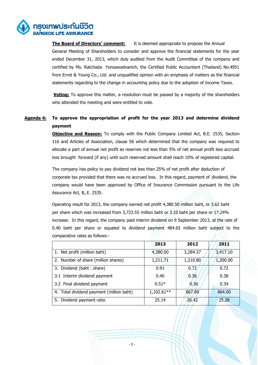

**The Board of Directors' comment:** It is deemed appropriate to propose the Annual General Meeting of Shareholders to consider and approve the financial statements for the year ended December 31, 2013, which duly audited from the Audit Committee of the company and certified by Ms. Ratchada Yonsawadvanich, the Certified Public Accountant (Thailand) No.4951 from Ernst & Young Co., Ltd. and unqualified opinion with an emphasis of matters as the financial statements regarding to the change in accounting policy due to the adoption of Income Taxes.

**Voting:** To approve this matter, a resolution must be passed by a majority of the shareholders who attended the meeting and were entitled to vote.

# **Agenda 4: To approve the appropriation of profit for the year 2013 and determine dividend payment**

**Objective and Reason:** To comply with the Public Company Limited Act, B.E. 2535, Section 116 and Articles of Association, clause 56 which determined that the company was required to allocate a part of annual net profit as reserves not less than 5% of net annual profit less accrued loss brought forward (if any) until such reserved amount shall reach 10% of registered capital.

The company has policy to pay dividend not less than 25% of net profit after deduction of corporate tax provided that there was no accrued loss. In this regard, payment of dividend, the company would have been approved by Office of Insurance Commission pursuant to the Life Assurance Act, B,.E. 2535.

Operating result for 2013, the company earned net profit 4,380.50 million baht, or 3.62 baht per share which was increased from 3,723.55 million baht or 3.10 baht per share or 17.24% increase. In this regard, the company paid interim dividend on 9 September 2013, at the rate of 0.40 baht per share or equaled to dividend payment 484.65 million baht subject to the comparative rates as follows:-  $\sqrt{2}$ 

|                                          | 2013         | 2012     | 2011     |
|------------------------------------------|--------------|----------|----------|
| 1. Net profit (million baht)             | 4,380.50     | 3,284.37 | 3,417.10 |
| 2. Number of share (million shares)      | 1,211.71     | 1,210.80 | 1,200.00 |
| 3. Dividend (baht: share)                | 0.91         | 0.72     | 0.72     |
| 3.1 Interim dividend payment             | 0.40         | 0.36     | 0.38     |
| 3.2 Final dividend payment               | $0.51*$      | 0.36     | 0.34     |
| 4. Total dividend payment (million baht) | $1,102.61**$ | 867.89   | 864.00   |
| 5. Dividend payment ratio                | 25.14        | 26.42    | 25.28    |

- 5 -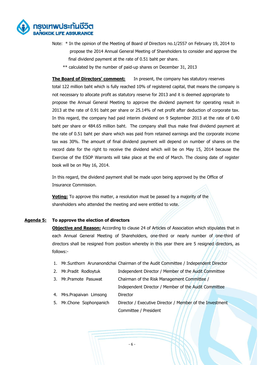

- Note: \* In the opinion of the Meeting of Board of Directors no.1/2557 on February 19, 2014 to propose the 2014 Annual General Meeting of Shareholders to consider and approve the final dividend payment at the rate of 0.51 baht per share.
	- \*\* calculated by the number of paid-up shares on December 31, 2013

**The Board of Directors' comment:** In present, the company has statutory reserves total 122 million baht which is fully reached 10% of registered capital, that means the company is not necessary to allocate profit as statutory reserve for 2013 and it is deemed appropriate to propose the Annual General Meeting to approve the dividend payment for operating result in 2013 at the rate of 0.91 baht per share or 25.14% of net profit after deduction of corporate tax. In this regard, the company had paid interim dividend on 9 September 2013 at the rate of 0.40 baht per share or 484.65 million baht. The company shall thus make final dividend payment at the rate of 0.51 baht per share which was paid from retained earnings and the corporate income tax was 30%. The amount of final dividend payment will depend on number of shares on the record date for the right to receive the dividend which will be on May 15, 2014 because the Exercise of the ESOP Warrants will take place at the end of March. The closing date of register book will be on May 16, 2014.

In this regard, the dividend payment shall be made upon being approved by the Office of Insurance Commission.

**Voting:** To approve this matter, a resolution must be passed by a majority of the shareholders who attended the meeting and were entitled to vote.

#### **Agenda 5: To approve the election of directors**

**Objective and Reason:** According to clause 24 of Articles of Association which stipulates that in each Annual General Meeting of Shareholders, one-third or nearly number of one-third of directors shall be resigned from position whereby in this year there are 5 resigned directors, as follows:-

- 1. Mr.Sunthorn Arunanondchai Chairman of the Audit Committee / Independent Director
- 2. Mr. Pradit Rodlovtuk Independent Director / Member of the Audit Committee
- 3. Mr.Pramote Pasuwat Chairman of the Risk Management Committee /
	- Independent Director / Member of the Audit Committee
- 4. Mrs. Prapaivan Limsong Director
- 5. Mr.Chone Sophonpanich Director / Executive Director / Member of the Investment Committee / President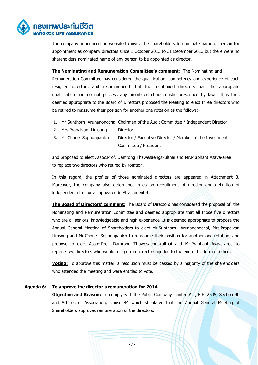

The company announced on website to invite the shareholders to nominate name of person for appointment as company directors since 1 October 2013 to 31 December 2013 but there were no shareholders nominated name of any person to be appointed as director.

#### **The Nominating and Remuneration Committee's comment**: The Nominating and

Remuneration Committee has considered the qualification, competency and experience of each resigned directors and recommended that the mentioned directors had the appropiate qualification and do not possess any prohibited characteristic prescribed by laws. It is thus deemed appropriate to the Board of Directors proposed the Meeting to elect three directors who be retired to reassume their position for another one rotation as the follows;-

- 1. Mr.Sunthorn Arunanondchai Chairman of the Audit Committee / Independent Director
- 2. Mrs.Prapaivan Limsong Director
- 3. Mr.Chone Sophonpanich Director / Executive Director / Member of the Investment Committee / President

and proposed to elect Assoc.Prof. Damrong Thawesaengskulthai and Mr.Praphant Asava-aree to replace two directors who retired by rotation.

In this regard, the profiles of those nominated directors are appeared in Attachment 3. Moreover, the company also determined rules on recruitment of director and definition of independent director as appeared in Attachment 4.

**The Board of Directors' comment**: The Board of Directors has considered the proposal of the Nominating and Remuneration Committee and deemed appropriate that all those five directors who are all seniors, knowledgeable and high experience. It is deemed appropriate to propose the Annual General Meeting of Shareholders to elect Mr.Sunthorn Arunanondchai, Mrs.Prapaivan Limsong and Mr.Chone Sophonpanich to reassume their position for another one rotation, and propose to elect Assoc.Prof. Damrong Thawesaengskulthai and Mr.Praphant Asava-aree to replace two directors who would resign from directorship due to the end of his term of office.

**Voting:** To approve this matter, a resolution must be passed by a majority of the shareholders who attended the meeting and were entitled to vote.

#### **Agenda 6: To approve the director's remuneration for 2014**

**Objective and Reason:** To comply with the Public Company Limited Act, B.E. 2535, Section 90 and Articles of Association, clause 44 which stipulated that the Annual General Meeting of Shareholders approves remuneration of the directors.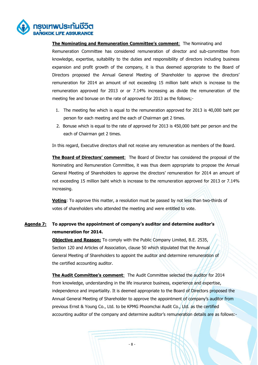

**The Nominating and Remuneration Committee's comment**: The Nominating and Remuneration Committee has considered remuneration of director and sub-committee from knowledge, expertise, suitability to the duties and responsibility of directors including business expansion and profit growth of the company, it is thus deemed appropriate to the Board of Directors proposed the Annual General Meeting of Shareholder to approve the directors' remuneration for 2014 an amount of not exceeding 15 million baht which is increase to the remuneration approved for 2013 or or 7.14% increasing as divide the remuneration of the meeting fee and bonuse on the rate of approved for 2013 as the follows;-

- 1. The meeting fee which is equal to the remuneration approved for 2013 is 40,000 baht per person for each meeting and the each of Chairman get 2 times.
- 2. Bonuse which is equal to the rate of approved for 2013 is 450,000 baht per person and the each of Chairman get 2 times.

In this regard, Executive directors shall not receive any remuneration as members of the Board.

**The Board of Directors' comment**: The Board of Director has considered the proposal of the Nominating and Remuneration Committee, it was thus deem appropriate to propose the Annual General Meeting of Shareholders to approve the directors' remuneration for 2014 an amount of not exceeding 15 million baht which is increase to the remuneration approved for 2013 or 7.14% increasing.

**Voting**: To approve this matter, a resolution must be passed by not less than two-thirds of votes of shareholders who attended the meeting and were entitled to vote.

# **Agenda 7: To approve the appointment of company's auditor and determine auditor's remuneration for 2014.**

**Objective and Reason:** To comply with the Public Company Limited, B.E. 2535, Section 120 and Articles of Association, clause 50 which stipulated that the Annual General Meeting of Shareholders to appoint the auditor and determine remuneration of the certified accounting auditor.

**The Audit Committee's comment**: The Audit Committee selected the auditor for 2014 from knowledge, understanding in the life insurance business, experience and expertise, independence and impartiality. It is deemed appropriate to the Board of Directors proposed the Annual General Meeting of Shareholder to approve the appointment of company's auditor from previous Ernst & Young Co., Ltd. to be KPMG Phoomchai Audit Co., Ltd. as the certified accounting auditor of the company and determine auditor's remuneration details are as follows:-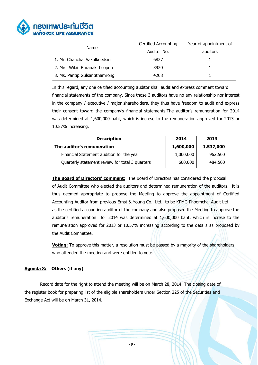

| Name                           | <b>Certified Accounting</b> | Year of appointment of |
|--------------------------------|-----------------------------|------------------------|
|                                | Auditor No.                 | auditors               |
| 1. Mr. Chanchai Sakulkoedsin   | 6827                        |                        |
| 2. Mrs. Wilai Buranakittisopon | 3920                        |                        |
| 3. Ms. Pantip Gulsantithamrong | 4208                        |                        |

In this regard, any one certified accounting auditor shall audit and express comment toward financial statements of the company. Since those 3 auditors have no any relationship nor interest in the company / executive / major shareholders, they thus have freedom to audit and express their consent toward the company's financial statements.The auditor's remuneration for 2014 was determined at 1,600,000 baht, which is increse to the remuneration approved for 2013 or 10.57% increasing.

| <b>Description</b>                              | 2014      | 2013      |  |
|-------------------------------------------------|-----------|-----------|--|
| The auditor's remuneration                      | 1,600,000 | 1,537,000 |  |
| Financial Statement audition for the year       | 1,000,000 | 962,500   |  |
| Quarterly statement review for total 3 quarters | 600,000   | 484,500   |  |

**The Board of Directors' comment:** The Board of Directors has considered the proposal of Audit Committee who elected the auditors and determined remuneration of the auditors. It is thus deemed appropriate to propose the Meeting to approve the appointment of Certified Accounting Auditor from previous Ernst & Young Co., Ltd., to be KPMG Phoomchai Audit Ltd. as the certified accounting auditor of the company and also proposed the Meeting to approve the auditor's remuneration for 2014 was determined at 1,600,000 baht, which is increse to the remuneration approved for 2013 or 10.57% increasing according to the details as proposed by the Audit Committee.

**Voting:** To approve this matter, a resolution must be passed by a majority of the shareholders who attended the meeting and were entitled to vote.

# **Agenda 8: Others (if any)**

Record date for the right to attend the meeting will be on March 28, 2014. The closing date of the register book for preparing list of the eligible shareholders under Section 225 of the Securities and Exchange Act will be on March 31, 2014.

- 9 -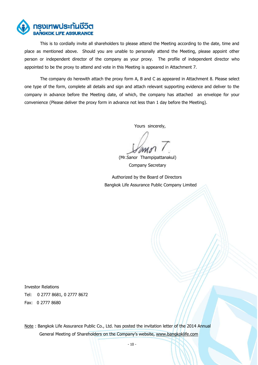

This is to cordially invite all shareholders to please attend the Meeting according to the date, time and place as mentioned above. Should you are unable to personally attend the Meeting, please appoint other person or independent director of the company as your proxy. The profile of independent director who appointed to be the proxy to attend and vote in this Meeting is appeared in Attachment 7.

The company do herewith attach the proxy form A, B and C as appeared in Attachment 8. Please select one type of the form, complete all details and sign and attach relevant supporting evidence and deliver to the company in advance before the Meeting date, of which, the company has attached an envelope for your convenience (Please deliver the proxy form in advance not less than 1 day before the Meeting).

Yours sincerely,

 (Mr.Sanor Thampipattanakul) Company Secretary

 Authorized by the Board of Directors Bangkok Life Assurance Public Company Limited

Investor Relations Tel: 0 2777 8681, 0 2777 8672 Fax: 0 2777 8680

Note : Bangkok Life Assurance Public Co., Ltd. has posted the invitation letter of the 2014 Annual General Meeting of Shareholders on the Company's website, [www.bangkoklife.com](http://www.bangkoklife.com/)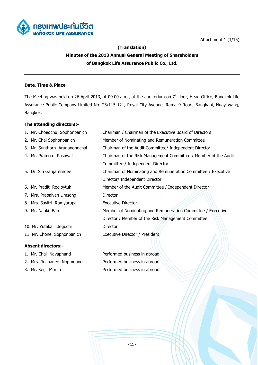



# **(Translation) Minutes of the 2013 Annual General Meeting of Shareholders of Bangkok Life Assurance Public Co., Ltd.**

# **Date, Time & Place**

The Meeting was held on 26 April 2013, at 09.00 a.m., at the auditorium on 7<sup>th</sup> floor, Head Office, Bangkok Life Assurance Public Company Limited No. 23/115-121, Royal City Avenue, Rama 9 Road, Bangkapi, Huaykwang, Bangkok.

# **The attending directors:-**

| 1. Mr. Choedchu Sophonpanich  | Chairman / Chairman of the Executive Board of Directors         |
|-------------------------------|-----------------------------------------------------------------|
| 2. Mr. Chai Sophonpanich      | Member of Nominating and Remuneration Committee                 |
| 3. Mr. Sunthorn Arunanondchai | Chairman of the Audit Committee/ Independent Director           |
| 4. Mr. Pramote Pasuwat        | Chairman of the Risk Management Committee / Member of the Audit |
|                               | Committee / Independent Director                                |
| 5. Dr. Siri Ganjarerndee      | Chairman of Nominating and Remuneration Committee / Executive   |
|                               | Director/ Independent Director                                  |
| 6. Mr. Pradit Rodloytuk       | Member of the Audit Committee / Independent Director            |
| 7. Mrs. Prapaivan Limsong     | Director                                                        |
| 8. Mrs. Savitri Ramyarupa     | <b>Executive Director</b>                                       |
| 9. Mr. Naoki Ban              | Member of Nominating and Remuneration Committee / Executive     |
|                               | Director / Member of the Risk Management Committee              |
| 10. Mr. Yutaka Ideguchi       | Director                                                        |
| 11. Mr. Chone Sophonpanich    | Executive Director / President                                  |
|                               |                                                                 |
| <b>Absent directors:-</b>     |                                                                 |
| 1. Mr. Chai Navaphand         | Performed business in abroad                                    |

- 2. Mrs. Ruchanee Nopmuang Performed business in abroad
- 3. Mr. Keiji Morita Performed business in abroad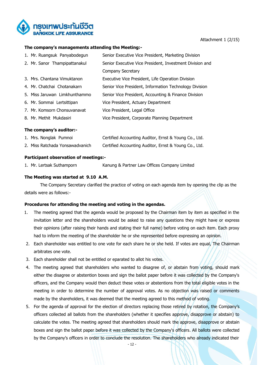

#### Attachment 1 (2/15)

#### **The company's managements attending the Meeting:-**

| 1. Mr. Ruangsuk Panyabodegun  | Senior Executive Vice President, Marketing Division      |
|-------------------------------|----------------------------------------------------------|
| 2. Mr. Sanor Thampipattanakul | Senior Executive Vice President, Investment Division and |
|                               | Company Secretary                                        |
| 3. Mrs. Chantana Vimuktanon   | Executive Vice President, Life Operation Division        |
| 4. Mr. Chatchai Chotanakarn   | Senior Vice President, Information Technology Division   |
| 5. Miss Jaruwan Limkhunthammo | Senior Vice President, Accounting & Finance Division     |
| 6. Mr. Sommai Lertsittipan    | Vice President, Actuary Department                       |
| 7. Mr. Komsorn Chonsuvanavat  | Vice President, Legal Office                             |
| 8. Mr. Methit Mukdasiri       | Vice President, Corporate Planning Department            |
|                               |                                                          |

#### **The company's auditor:-**

| 1. Mrs. Nonglak Pumnoi          | Certified Accounting Auditor, Ernst & Young Co., Ltd. |
|---------------------------------|-------------------------------------------------------|
| 2. Miss Ratchada Yonsawadvanich | Certified Accounting Auditor, Ernst & Young Co., Ltd. |

#### **Participant observation of meetings:-**

1. Mr. Lertsak Suthamporn Kanung & Partner Law Offices Company Limited

#### **The Meeting was started at 9.10 A.M.**

The Company Secretary clarified the practice of voting on each agenda item by opening the clip as the details were as follows:-

#### **Procedures for attending the meeting and voting in the agendas.**

- 1. The meeting agreed that the agenda would be proposed by the Chairman item by item as specified in the invitation letter and the shareholders would be asked to raise any questions they might have or express their opinions (after raising their hands and stating their full name) before voting on each item. Each proxy had to inform the meeting of the shareholder he or she represented before expressing an opinion.
- 2. Each shareholder was entitled to one vote for each share he or she held. If votes are equal, The Chairman arbitrates one vote.
- 3. Each shareholder shall not be entitled or eparated to allot his votes.
- 4. The meeting agreed that shareholders who wanted to disagree of, or abstain from voting, should mark either the disagree or abstention boxes and sign the ballot paper before it was collected by the Company's officers, and the Company would then deduct these votes or abstentions from the total eligible votes in the meeting in order to determine the number of approval votes. As no objection was raised or comments made by the shareholders, it was deemed that the meeting agreed to this method of voting.
- 5. For the agenda of approval for the election of directors replacing those retired by rotation, the Company's officers collected all ballots from the shareholders (whether it specifies approve, disapprove or abstain) to calculate the votes. The meeting agreed that shareholders should mark the approve, disapprove or abstain boxes and sign the ballot paper before it was collected by the Company's officers. All ballots were collected by the Company's officers in order to conclude the resolution. The shareholders who already indicated their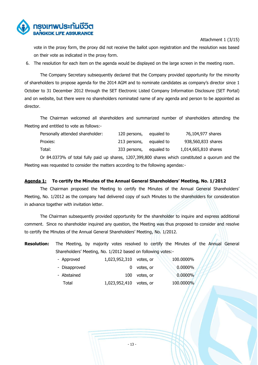

Attachment 1 (3/15)

vote in the proxy form, the proxy did not receive the ballot upon registration and the resolution was based on their vote as indicated in the proxy form.

6. The resolution for each item on the agenda would be displayed on the large screen in the meeting room.

The Company Secretary subsequently declared that the Company provided opportunity for the minority of shareholders to propose agenda for the 2014 AGM and to nominate candidates as company's director since 1 October to 31 December 2012 through the SET Electronic Listed Company Information Disclosure (SET Portal) and on website, but there were no shareholders nominated name of any agenda and person to be appointed as director.

The Chairman welcomed all shareholders and summarized number of shareholders attending the Meeting and entitled to vote as follows:-

| Personally attended shareholder: | 120 persons, | equaled to | 76,104,977 shares    |
|----------------------------------|--------------|------------|----------------------|
| Proxies:                         | 213 persons, | equaled to | 938,560,833 shares   |
| Total:                           | 333 persons, | equaled to | 1,014,665,810 shares |

Or 84.0373% of total fully paid up shares, 1207,399,800 shares which constituted a quorum and the Meeting was requested to consider the matters according to the following agendas:-

#### **Agenda 1: To certify the Minutes of the Annual General Shareholders' Meeting, No. 1/2012**

The Chairman proposed the Meeting to certify the Minutes of the Annual General Shareholders' Meeting, No. 1/2012 as the company had delivered copy of such Minutes to the shareholders for consideration in advance together with invitation letter.

The Chairman subsequently provided opportunity for the shareholder to inquire and express additional comment. Since no shareholder inquired any question, the Meeting was thus proposed to consider and resolve to certify the Minutes of the Annual General Shareholders' Meeting, No. 1/2012.

**Resolution:** The Meeting, by majority votes resolved to certify the Minutes of the Annual General Shareholders' Meeting, No. 1/2012 based on following votes:-

| - Approved    | 1,023,952,310 votes, or |               | 100.0000%  |
|---------------|-------------------------|---------------|------------|
| - Disapproved | $\Omega$                | votes, or     | $0.0000\%$ |
| - Abstained   |                         | 100 votes, or | 0.0000%    |
| Total         | 1,023,952,410 votes, or |               | 100.0000%  |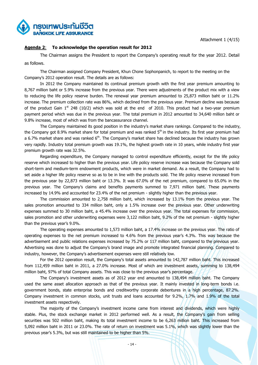Attachment 1 (4/15)



# **Agenda 2**: **To acknowledge the operation result for 2012**

The Chairman assigns the President to report the Company's operating result for the year 2012. Detail as follows.

The Chairman assigned Company President, Khun Chone Sophonpanich, to report to the meeting on the Company's 2012 operation result. The details are as follows:

In 2012 the Company maintained its continual premium growth with the first year premium amounting to 8,767 million baht or 5.9% increase from the previous year. There were adjustments of the product mix with a view to reducing the life policy reserve burden. The renewal year premium amounted to 25,873 million baht or 11.2% increase. The premium collection rate was 86%, which declined from the previous year. Premium decline was because of the product Gain  $1<sup>st</sup>$  248 (10/2) which was sold at the end of 2010. This product had a two-year premium payment period which was due in the previous year. The total premium in 2012 amounted to 34,640 million baht or 9.8% increase, most of which was from the bancassurance channel.

The Company maintained its good position in the industry's market share rankings. Compared to the industry, the Company got 8.9% market share for total premium and was ranked 5<sup>th</sup> in the industry. Its first year premium had a 6.7% market share and was ranked  $6<sup>th</sup>$ . The Company's market share has declined because the industry has grown very rapidly. Industry total premium growth was 19.1%, the highest growth rate in 10 years, while industry first year premium growth rate was 32.5%.

Regarding expenditure, the Company managed to control expenditure efficiently, except for the life policy reserve which increased to higher than the previous year. Life policy reserve increase was because the Company sold short-term and medium-term endowment products, which were in market demand. As a result, the Company had to set aside a higher life policy reserve so as to be in line with the products sold. The life policy reserve increased from the previous year by 22,873 million baht or 13.3%. It was 67.0% of the net premium, compared to 65.0% in the previous year. The Company's claims and benefits payments summed to 7,971 million baht. These payments increased by 14.9% and accounted for 23.4% of the net premium - slightly higher than the previous year.

The commission amounted to 2,758 million baht, which increased by 13.1% from the previous year. The sales promotion amounted to 334 million baht, only a 1.5% increase over the previous year. Other underwriting expenses summed to 30 million baht, a 45.4% increase over the previous year. The total expenses for commission, sales promotion and other underwriting expenses were 3,122 million baht, 9.2% of the net premium - slightly higher than the previous year's 9.0%.

The operating expenses amounted to 1,573 million baht, a 17.4% increase on the previous year. The ratio of operating expenses to the net premium increased to 4.6% from the previous year's 4.3%. This was because the advertisement and public relations expenses increased by 75.2% or 117 million baht, compared to the previous year. Advertising was done to adjust the Company's brand image and promote integrated financial planning. Compared to industry, however, the Company's advertisement expenses were still relatively low.

For the 2012 operation result, the Company's total assets amounted to 142,787 million baht. This increased from 112,459 million baht in 2011, a 27.0% increase. Most of which are investment assets, summing to 138,494 million baht, 97% of total Company assets. This was close to the previous year's percentage.

The Company's investment assets as of 2012 year end amounted to 138,494 million baht. The Company used the same asset allocation approach as that of the previous year. It mainly invested in long-term bonds i.e. government bonds, state enterprise bonds and creditworthy corporate debentures in a high percentage, 87.2%. Company investment in common stocks, unit trusts and loans accounted for 9.2%, 1.7% and 1.9% of the total investment assets respectively.

The majority of the Company's investment income came from interest and dividends, which were highly stable. Plus, the stock exchange market in 2012 performed well. As a result, the Company's gain from selling securities was 502 million baht, making its total investment income to be 6,263 million baht. This increased from 5,092 million baht in 2011 or 23.0%. The rate of return on investment was 5.1%, which was slightly lower than the previous year's 5.3%, but was still maintained to be higher than 5%.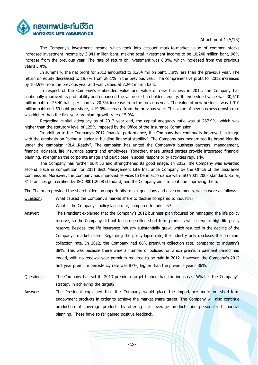#### Attachment 1 (5/15)

ารงเทพประกันชีวิต

The Company's investment income which took into account mark-to-market value of common stocks increased investment income by 3,941 million baht, making total investment income to be 10,240 million baht, 96% increase from the previous year. The rate of return on investment was 8.3%, which increased from the previous year's 5.4%.

In summary, the net profit for 2012 amounted to 3,284 million baht, 3.9% less than the previous year. The return on equity decreased to 19.7% from 28.1% in the previous year. The comprehensive profit for 2012 increased by 103.9% from the previous year and was valued at 7,248 million baht.

In respect of the Company's embedded value and value of new business in 2012, the Company has continually improved its profitability and enhanced the value of shareholders' equity. Its embedded value was 30,610 million baht or 25.40 baht per share, a 20.5% increase from the previous year. The value of new business was 1,910 million baht or 1.59 baht per share, a 19.0% increase from the previous year. This value of new business growth rate was higher than the first year premium growth rate of 5.9%.

Regarding capital adequacy as of 2012 year end, the capital adequacy ratio was at 267.9%, which was higher than the statutory level of 125% imposed by the Office of the Insurance Commission.

In addition to the Company's 2012 financial performance, the Company has continually improved its image with the emphasis on "being a leader in building financial stability". The Company has modernized its brand identity under the campaign "BLA...Ready". The campaign has united the Company's business partners, management, financial advisers, life insurance agents and employees. Together, these united parties provide integrated financial planning, strengthen the corporate image and participate in social responsibility activities regularly.

The Company has further built up and strengthened its good image. In 2012, the Company was awarded second place in competition for 2011 Best Management Life Insurance Company by the Office of the Insurance Commission. Moreover, the Company has improved services to be in accordance with ISO 9001:2008 standard. So far, 31 branches got certified by ISO 9001:2008 standard, and the Company aims to continue improving them.

The Chairman provided the shareholders an opportunity to ask questions and give comments, which were as follows:

Question: What caused the Company's market share to decline compared to industry?

What is the Company's policy lapse rate, compared to industry?

- Answer: The President explained that the Company's 2012 business plan focused on managing the life policy reserve, so the Company did not focus on selling short-term products which require high life policy reserve. Besides, the life insurance industry substantially grew, which resulted in the decline of the Company's market share. Regarding the policy lapse rate, the industry only discloses the premium collection rate. In 2012, the Company had 86% premium collection rate, compared to industry's 88%. This was because there were a number of policies for which premium payment period had ended, with no renewal year premium required to be paid in 2012. However, the Company's 2012 first year premium persistency rate was 87%, higher than the previous year's 86%.
- Question: The Company has set its 2013 premium target higher than the industry's. What is the Company's strategy in achieving the target?
- Answer: The President explained that the Company would place the importance more on short-term endowment products in order to achieve the market share target. The Company will also continue production of coverage products by offering life coverage products and personalized financial planning. These have so far gained positive feedback.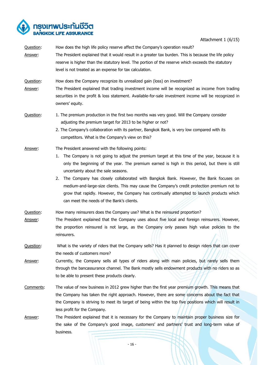

Attachment 1 (6/15)

Question: How does the high life policy reserve affect the Company's operation result? Answer: The President explained that it would result in a greater tax burden. This is because the life policy reserve is higher than the statutory level. The portion of the reserve which exceeds the statutory level is not treated as an expense for tax calculation. Question: How does the Company recognize its unrealized gain (loss) on investment? Answer: The President explained that trading investment income will be recognized as income from trading securities in the profit & loss statement. Available-for-sale investment income will be recognized in owners' equity. Question: 1. The premium production in the first two months was very good. Will the Company consider adjusting the premium target for 2013 to be higher or not? 2. The Company's collaboration with its partner, Bangkok Bank, is very low compared with its competitors. What is the Company's view on this? Answer: The President answered with the following points: 1. The Company is not going to adjust the premium target at this time of the year, because it is only the beginning of the year. The premium earned is high in this period, but there is still uncertainty about the sale seasons. 2. The Company has closely collaborated with Bangkok Bank. However, the Bank focuses on medium-and-large-size clients. This may cause the Company's credit protection premium not to grow that rapidly. However, the Company has continually attempted to launch products which can meet the needs of the Bank's clients. Question: How many reinsurers does the Company use? What is the reinsured proportion? Answer: The President explained that the Company uses about five local and foreign reinsurers. However, the proportion reinsured is not large, as the Company only passes high value policies to the reinsurers. Question: What is the variety of riders that the Company sells? Has it planned to design riders that can cover the needs of customers more? Answer: Currently, the Company sells all types of riders along with main policies, but rarely sells them through the bancassurance channel. The Bank mostly sells endowment products with no riders so as to be able to present these products clearly. Comments: The value of new business in 2012 grew higher than the first year premium growth. This means that the Company has taken the right approach. However, there are some concerns about the fact that the Company is striving to meet its target of being within the top five positions which will result in less profit for the Company. Answer: The President explained that it is necessary for the Company to maintain proper business size for the sake of the Company's good image, customers' and partners' trust and long-term value of business.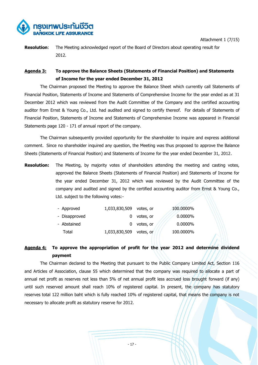



**Resolution**: The Meeting acknowledged report of the Board of Directors about operating result for 2012.

# **Agenda 3: To approve the Balance Sheets (Statements of Financial Position) and Statements of Income for the year ended December 31, 2012**

The Chairman proposed the Meeting to approve the Balance Sheet which currently call Statements of Financial Position, Statements of Income and Statements of Comprehensive Income for the year ended as at 31 December 2012 which was reviewed from the Audit Committee of the Company and the certified accounting auditor from Ernst & Young Co., Ltd. had audited and signed to certify thereof. For details of Statements of Financial Position, Statements of Income and Statements of Comprehensive Income was appeared in Financial Statements page 120 - 171 of annual report of the company.

The Chairman subsequently provided opportunity for the shareholder to inquire and express additional comment. Since no shareholder inquired any question, the Meeting was thus proposed to approve the Balance Sheets (Statements of Financial Position) and Statements of Income for the year ended December 31, 2012.

**Resolution:** The Meeting, by majority votes of shareholders attending the meeting and casting votes, approved the Balance Sheets (Statements of Financial Position) and Statements of Income for the year ended December 31, 2012 which was reviewed by the Audit Committee of the company and audited and signed by the certified accounting auditor from Ernst & Young Co., Ltd. subject to the following votes:-

| - Approved    | 1,033,830,509 votes, or |               | 100.0000%  |
|---------------|-------------------------|---------------|------------|
| - Disapproved | 0                       | votes, or     | $0.0000\%$ |
| - Abstained   |                         | $0$ votes, or | $0.0000\%$ |
| Total         | 1,033,830,509 votes, or |               | 100.0000%  |

# **Agenda 4: To approve the appropriation of profit for the year 2012 and determine dividend payment**

The Chairman declared to the Meeting that pursuant to the Public Company Limited Act, Section 116 and Articles of Association, clause 55 which determined that the company was required to allocate a part of annual net profit as reserves not less than 5% of net annual profit less accrued loss brought forward (if any) until such reserved amount shall reach 10% of registered capital. In present, the company has statutory reserves total 122 million baht which is fully reached 10% of registered capital, that means the company is not necessary to allocate profit as statutory reserve for 2012.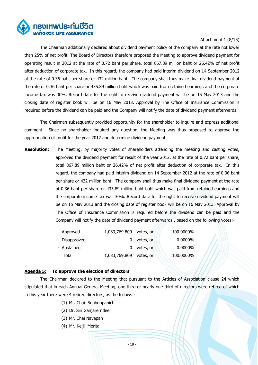

## Attachment 1 (8/15)

The Chairman additionally declared about dividend payment policy of the company at the rate not lower than 25% of net profit. The Board of Directors therefore proposed the Meeting to approve dividend payment for operating result in 2012 at the rate of 0.72 baht per share, total 867.89 million baht or 26.42% of net profit after deduction of corporate tax. In this regard, the company had paid interim dividend on 14 September 2012 at the rate of 0.36 baht per share or 432 million baht. The company shall thus make final dividend payment at the rate of 0.36 baht per share or 435.89 million baht which was paid from retained earnings and the corporate income tax was 30%. Record date for the right to receive dividend payment will be on 15 May 2013 and the closing date of register book will be on 16 May 2013. Approval by The Office of Insurance Commission is required before the dividend can be paid and the Company will notify the date of dividend payment afterwards.

The Chairman subsequently provided opportunity for the shareholder to inquire and express additional comment. Since no shareholder inquired any question, the Meeting was thus proposed to approve the appropriation of profit for the year 2012 and determine dividend payment

**Resolution:** The Meeting, by majority votes of shareholders attending the meeting and casting votes, approved the dividend payment for result of the year 2012, at the rate of 0.72 baht per share, total 867.89 million baht or 26.42% of net profit after deduction of corporate tax. In this regard, the company had paid interim dividend on 14 September 2012 at the rate of 0.36 baht per share or 432 million baht. The company shall thus make final dividend payment at the rate of 0.36 baht per share or 435.89 million baht baht which was paid from retained earnings and the corporate income tax was 30%. Record date for the right to receive dividend payment will be on 15 May 2013 and the closing date of register book will be on 16 May 2013. Approval by The Office of Insurance Commission is required before the dividend can be paid and the Company will notify the date of dividend payment afterwards , based on the following votes:-

| - Approved    | 1,033,769,809 votes, or |           | 100.0000%  |
|---------------|-------------------------|-----------|------------|
| - Disapproved |                         | votes, or | $0.0000\%$ |
| - Abstained   |                         | votes, or | $0.0000\%$ |
| Total         | 1,033,769,809 votes, or |           | 100.0000%  |

## **Agenda 5: To approve the election of directors**

The Chairman declared to the Meeting that pursuant to the Articles of Association clause 24 which stipulated that in each Annual General Meeting, one-third or nearly one-third of directors were retired of which in this year there were 4 retired directors, as the follows:-

- (1) Mr. Chai Sophonpanich
- (2) Dr. Siri Ganjarerndee
- (3) Mr. Chai Navapan
- (4) Mr. Keiji Morita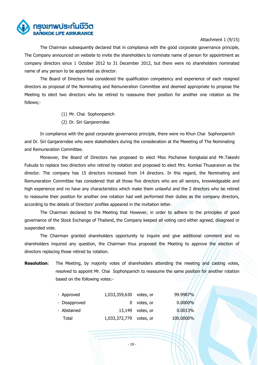

## Attachment 1 (9/15)

The Chairman subsequently declared that in compliance with the good corporate governance principle, The Company announced on website to invite the shareholders to nominate name of person for appointment as company directors since 1 October 2012 to 31 December 2012, but there were no shareholders nominated name of any person to be appointed as director.

The Board of Directors has considered the qualification competency and experience of each resigned directors as proposal of the Nominating and Remuneration Committee and deemed appropriate to propose the Meeting to elect two directors who be retired to reassume their position for another one rotation as the follows;-

- (1) Mr. Chai Sophonpanich
- (2) Dr. Siri Ganjarerndee

In compliance with the good corporate governance principle, there were no Khun Chai Sophonpanich and Dr. Siri Ganjarerndee who were stakeholders during the consideration at the Meeeting of The Nominating and Remuneration Committee.

Moreover, the Board of Directors has proposed to elect Miss Pochanee Kongkalai and Mr.Takeshi Fukuda to replace two directors who retired by rotation and proposed to elect Mrs. Komkai Thusaranon as the director. The company has 15 directors increased from 14 directors. In this regard, the Nominating and Remuneration Committee has considered that all those five directors who are all seniors, knowledgeable and high experience and no have any characteristics which make them unlawful and the 2 directors who be retired to reassume their position for another one rotation had well performed their duties as the company directors, according to the details of Directors' profiles appeared in the invitation letter.

The Chairman declared to the Meeting that However, in order to adhere to the principles of good governance of the Stock Exchange of Thailand, the Company keeped all voting card either agreed, disagreed or suspended vote.

The Chairman granted shareholders opportunity to inquire and give additional comment and no shareholders inquired any question, the Chairman thus proposed the Meeting to approve the election of directors replacing those retired by rotation.

**Resolution**: The Meeting, by majority votes of shareholders attending the meeting and casting votes, resolved to appoint Mr. Chai Sophonpanich to reassume the same position for another rotation based on the following votes:-

| - Approved    | 1,033,359,630           | votes, or        | 99.9987%   |
|---------------|-------------------------|------------------|------------|
| - Disapproved |                         | $0$ votes, or    | $0.0000\%$ |
| - Abstained   |                         | 13,149 votes, or | 0.0013%    |
| Total         | 1,033,372,779 votes, or |                  | 100.0000%  |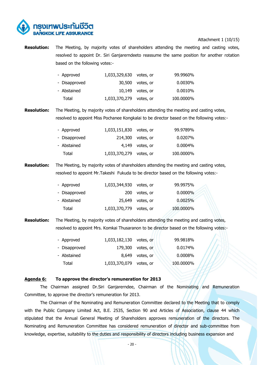

#### Attachment 1 (10/15)

**Resolution:** The Meeting, by majority votes of shareholders attending the meeting and casting votes, resolved to appoint Dr. Siri Ganjarerndeeto reassume the same position for another rotation based on the following votes:-

| - Approved    | 1,033,329,630 votes, or |                    | 99.9960%  |
|---------------|-------------------------|--------------------|-----------|
| - Disapproved |                         | 30,500 votes, or   | 0.0030%   |
| - Abstained   |                         | $10,149$ votes, or | 0.0010%   |
| Total         | 1,033,370,279 votes, or |                    | 100.0000% |

**Resolution:** The Meeting, by majority votes of shareholders attending the meeting and casting votes, resolved to appoint Miss Pochanee Kongkalai to be director based on the following votes:-

| - Approved    | 1,033,151,830 votes, or |                     | 99.9789%   |
|---------------|-------------------------|---------------------|------------|
| - Disapproved |                         | $214,300$ votes, or | $0.0207\%$ |
| - Abstained   |                         | 4,149 votes, or     | $0.0004\%$ |
| Total         | 1,033,370,279 votes, or |                     | 100.0000%  |

**Resolution:** The Meeting, by majority votes of shareholders attending the meeting and casting votes, resolved to appoint Mr.Takeshi Fukuda to be director based on the following votes:-

| - Approved    | 1,033,344,930 votes, or |                    | 99.9975%   |
|---------------|-------------------------|--------------------|------------|
| - Disapproved |                         | 200 votes, or      | $0.0000\%$ |
| - Abstained   |                         | $25,649$ votes, or | 0.0025%    |
| Total         | 1,033,370,779 votes, or |                    | 100.0000%  |

**Resolution:** The Meeting, by majority votes of shareholders attending the meeting and casting votes, resolved to appoint Mrs. Komkai Thusaranon to be director based on the following votes:-

| - Approved    | 1,033,182,130 votes, or |                   | 99.9818%  |
|---------------|-------------------------|-------------------|-----------|
| - Disapproved |                         | 179,300 votes, or | 0.0174%   |
| - Abstained   |                         | 8,649 votes, or   | 0.0008%   |
| Total         | 1,033,370,079 votes, or |                   | 100.0000% |

#### **Agenda 6: To approve the director's remuneration for 2013**

The Chairman assigned Dr.Siri Ganjarerndee, Chairman of the Nominating and Remuneration Committee, to approve the director's remuneration for 2013.

The Chairman of the Nominating and Remuneration Committee declared to the Meeting that to comply with the Public Company Limited Act, B.E. 2535, Section 90 and Articles of Association, clause 44 which stipulated that the Annual General Meeting of Shareholders approves remuneration of the directors. The Nominating and Remuneration Committee has considered remuneration of director and sub-committee from knowledge, expertise, suitability to the duties and responsibility of directors including business expansion and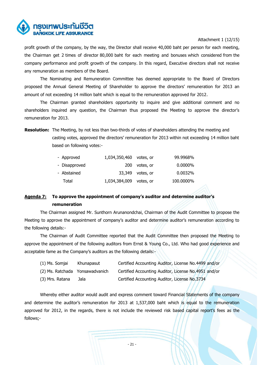

## Attachment 1 (12/15)

profit growth of the company, by the way, the Director shall receive 40,000 baht per person for each meeting, the Chairman get 2 times of director 80,000 baht for each meeting and bonuses which considered from the company performance and profit growth of the company. In this regard, Executive directors shall not receive any remuneration as members of the Board.

The Nominating and Remuneration Committee has deemed appropriate to the Board of Directors proposed the Annual General Meeting of Shareholder to approve the directors' remuneration for 2013 an amount of not exceeding 14 million baht which is equal to the remuneration approved for 2012.

The Chairman granted shareholders opportunity to inquire and give additional comment and no shareholders inquired any question, the Chairman thus proposed the Meeting to approve the director's remuneration for 2013.

**Resolution:** The Meeting, by not less than two-thirds of votes of shareholders attending the meeting and casting votes, approved the directors' remuneration for 2013 within not exceeding 14 million baht based on following votes:-

| - Approved    | 1,034,350,460 votes, or |                  | 99.9968%   |
|---------------|-------------------------|------------------|------------|
| - Disapproved |                         | 200 votes, or    | $0.0000\%$ |
| - Abstained   |                         | 33,349 votes, or | 0.0032%    |
| Total         | 1,034,384,009 votes, or |                  | 100.0000%  |

# **Agenda 7: To approve the appointment of company's auditor and determine auditor's remuneration**

The Chairman assigned Mr. Sunthorn Arunanondchai, Chairman of the Audit Committee to propose the Meeting to approve the appointment of company's auditor and determine auditor's remuneration according to the following details:-

The Chairman of Audit Committee reported that the Audit Committee then proposed the Meeting to approve the appointment of the following auditors from Ernst & Young Co., Ltd. Who had good experience and acceptable fame as the Company's auditors as the following details:-

| (1) Ms. Somjai                  | Khunapasut | Certified Accounting Auditor, License No.4499 and/or |
|---------------------------------|------------|------------------------------------------------------|
| (2) Ms. Ratchada Yonsawadvanich |            | Certified Accounting Auditor, License No.4951 and/or |
| (3) Mrs. Ratana                 | Jala       | Certified Accounting Auditor, License No.3734        |

Whereby either auditor would audit and express comment toward Financial Statements of the company and determine the auditor's remuneration for 2013 at 1,537,000 baht which is equal to the remuneration approved for 2012, in the regards, there is not include the reviewed risk based capital report's fees as the follows;-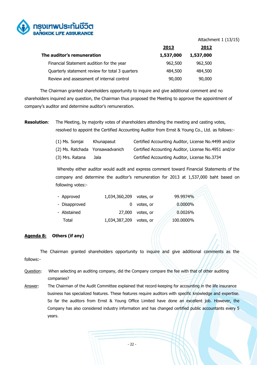

#### Attachment 1 (13/15)

|                                                 | 2013      | 2012      |
|-------------------------------------------------|-----------|-----------|
| The auditor's remuneration                      | 1,537,000 | 1,537,000 |
| Financial Statement audition for the year       | 962,500   | 962,500   |
| Quarterly statement review for total 3 quarters | 484,500   | 484,500   |
| Review and assessment of internal control       | 90,000    | 90,000    |

The Chairman granted shareholders opportunity to inquire and give additional comment and no shareholders inquired any question, the Chairman thus proposed the Meeting to approve the appointment of company's auditor and determine auditor's remuneration.

**Resolution:** The Meeting, by majority votes of shareholders attending the meeting and casting votes, resolved to appoint the Certified Accounting Auditor from Ernst & Young Co., Ltd. as follows:-

| (1) Ms. Somjai                  | Khunapasut | Certified Accounting Auditor, License No.4499 and/or |
|---------------------------------|------------|------------------------------------------------------|
| (2) Ms. Ratchada Yonsawadvanich |            | Certified Accounting Auditor, License No.4951 and/or |
| (3) Mrs. Ratana                 | Jala       | Certified Accounting Auditor, License No.3734        |

Whereby either auditor would audit and express comment toward Financial Statements of the company and determine the auditor's remuneration for 2013 at 1,537,000 baht based on following votes:-

| - Approved    | 1,034,360,209           | votes, or          | 99.9974%  |
|---------------|-------------------------|--------------------|-----------|
| - Disapproved |                         | $0$ votes, or      | 0.0000%   |
| - Abstained   |                         | $27,000$ votes, or | 0.0026%   |
| Total         | 1,034,387,209 votes, or |                    | 100.0000% |

# **Agenda 8: Others (if any)**

The Chairman granted shareholders opportunity to inquire and give additional comments as the follows:-

- Question: When selecting an auditing company, did the Company compare the fee with that of other auditing companies?
- Answer: The Chairman of the Audit Committee explained that record-keeping for accounting in the life insurance business has specialized features. These features require auditors with specific knowledge and expertise. So far the auditors from Ernst & Young Office Limited have done an excellent job. However, the Company has also considered industry information and has changed certified public accountants every 5 years.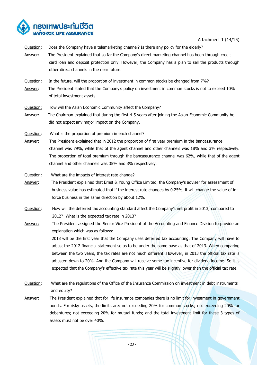

Attachment 1 (14/15)

- Question: Does the Company have a telemarketing channel? Is there any policy for the elderly? Answer: The President explained that so far the Company's direct marketing channel has been through credit card loan and deposit protection only. However, the Company has a plan to sell the products through other direct channels in the near future.
- Question: In the future, will the proportion of investment in common stocks be changed from 7%? Answer: The President stated that the Company's policy on investment in common stocks is not to exceed 10% of total investment assets.
- Question: How will the Asian Economic Community affect the Company?
- Answer: The Chairman explained that during the first 4-5 years after joining the Asian Economic Community he did not expect any major impact on the Company.
- Question: What is the proportion of premium in each channel?
- Answer: The President explained that in 2012 the proportion of first year premium in the bancassurance channel was 79%, while that of the agent channel and other channels was 18% and 3% respectively. The proportion of total premium through the bancassurance channel was 62%, while that of the agent channel and other channels was 35% and 3% respectively.
- Question: What are the impacts of interest rate change?
- Answer: The President explained that Ernst & Young Office Limited, the Company's adviser for assessment of business value has estimated that if the interest rate changes by 0.25%, it will change the value of inforce business in the same direction by about 12%.
- Question: How will the deferred tax accounting standard affect the Company's net profit in 2013, compared to 2012? What is the expected tax rate in 2013?
- Answer: The President assigned the Senior Vice President of the Accounting and Finance Division to provide an explanation which was as follows:

2013 will be the first year that the Company uses deferred tax accounting. The Company will have to adjust the 2012 financial statement so as to be under the same base as that of 2013. When comparing between the two years, the tax rates are not much different. However, in 2013 the official tax rate is adjusted down to 20%. And the Company will receive some tax incentive for dividend income. So it is expected that the Company's effective tax rate this year will be slightly lower than the official tax rate.

- Question: What are the regulations of the Office of the Insurance Commission on investment in debt instruments and equity?
- Answer: The President explained that for life insurance companies there is no limit for investment in government bonds. For risky assets, the limits are: not exceeding 20% for common stocks; not exceeding 20% for debentures; not exceeding 20% for mutual funds; and the total investment limit for these 3 types of assets must not be over 40%.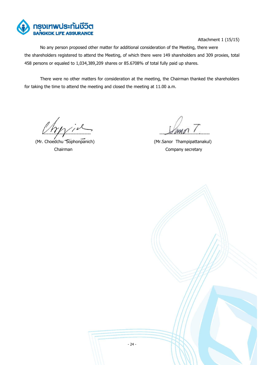

Attachment 1 (15/15)

No any person proposed other matter for additional consideration of the Meeting, there were the shareholders registered to attend the Meeting, of which there were 149 shareholders and 309 proxies, total 458 persons or equaled to 1,034,389,209 shares or 85.6708% of total fully paid up shares.

There were no other matters for consideration at the meeting, the Chairman thanked the shareholders for taking the time to attend the meeting and closed the meeting at 11.00 a.m.

 $\frac{1}{2}$ 

(Mr. Choedchu Sophonpanich) (Mr.Sanor Thampipattanakul)

Chairman Company secretary

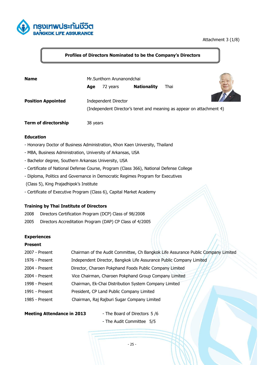

# Attachment 3 (1/8)

# **Profiles of Directors Nominated to be the Company's Directors**

| <b>Name</b>                 | Mr.Sunthorn Arunanondchai |                      |                                                                      |      |  |
|-----------------------------|---------------------------|----------------------|----------------------------------------------------------------------|------|--|
|                             | Age                       | 72 years             | <b>Nationality</b>                                                   | Thai |  |
| <b>Position Appointed</b>   |                           | Independent Director | (Independent Director's tenet and meaning as appear on attachment 4) |      |  |
| <b>Term of directorship</b> | 38 years                  |                      |                                                                      |      |  |

#### **Education**

- Honorary Doctor of Business Administration, Khon Kaen University, Thailand
- MBA, Business Administration, University of Arkansas, USA
- Bachelor degree, Southern Arkansas University, USA
- Certificate of National Defense Course, Program (Class 366), National Defense College
- Diploma, Politics and Governance in Democratic Regimes Program for Executives
- (Class 5), King Prajadhipok's Institute
- Certificate of Executive Program (Class 6), Capital Market Academy

#### **Training by Thai Institute of Directors**

- 2008 Directors Certification Program (DCP) Class of 98/2008
- 2005 Directors Accreditation Program (DAP) CP Class of 4/2005

#### **Experiences**

#### **Present**

| 2007 - Present | Chairman of the Audit Committee, Ch Bangkok Life Assurance Public Company Limited |
|----------------|-----------------------------------------------------------------------------------|
| 1976 - Present | Independent Director, Bangkok Life Assurance Public Company Limited               |
| 2004 - Present | Director, Charoen Pokphand Foods Public Company Limited                           |
| 2004 - Present | Vice Chairman, Charoen Pokphand Group Company Limited                             |
| 1998 - Present | Chairman, Ek-Chai Distribution System Company Limited                             |
| 1991 - Present | President, CP Land Public Company Limited                                         |
| 1985 - Present | Chairman, Raj Rajburi Sugar Company Limited                                       |
|                |                                                                                   |

#### **Meeting Attendance in 2013** - The Board of Directors 5 /6

- The Audit Committee 5/5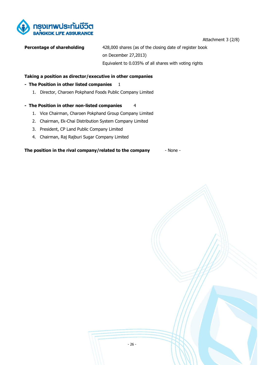

Attachment 3 (2/8)

**Percentage of shareholding** 428,000 shares (as of the closing date of register book on December 27,2013) Equivalent to 0.035% of all shares with voting rights

# **Taking a position as director/executive in other companies**

## **- The Position in other listed companies** 1

1. Director, Charoen Pokphand Foods Public Company Limited

#### **- The Position in other non-listed companies** 4

- 1. Vice Chairman, Charoen Pokphand Group Company Limited
- 2. Chairman, Ek-Chai Distribution System Company Limited
- 3. President, CP Land Public Company Limited
- 4. Chairman, Raj Rajburi Sugar Company Limited

**The position in the rival company/related to the company** - None -

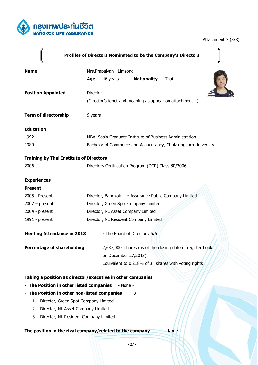

# Attachment 3 (3/8)

|                                                | Profiles of Directors Nominated to be the Company's Directors      |
|------------------------------------------------|--------------------------------------------------------------------|
| <b>Name</b>                                    | Mrs.Prapaivan Limsong                                              |
|                                                | <b>Nationality</b><br>46 years<br>Thai<br>Age                      |
| <b>Position Appointed</b>                      | Director                                                           |
|                                                | (Director's tenet and meaning as appear on attachment 4)           |
| <b>Term of directorship</b>                    | 9 years                                                            |
| <b>Education</b>                               |                                                                    |
| 1992                                           | MBA, Sasin Graduate Institute of Business Administration           |
| 1989                                           | Bachelor of Commerce and Accountancy, Chulalongkorn University     |
| <b>Training by Thai Institute of Directors</b> |                                                                    |
| 2006                                           | Directors Certification Program (DCP) Class 80/2006                |
| <b>Experiences</b>                             |                                                                    |
| <b>Present</b>                                 |                                                                    |
| 2005 - Present                                 | Director, Bangkok Life Assurance Public Company Limited            |
| $2007 - present$                               | Director, Green Spot Company Limited                               |
| 2004 - present                                 | Director, NL Asset Company Limited                                 |
| 1991 - present                                 | Director, NL Resident Company Limited                              |
| <b>Meeting Attendance in 2013</b>              | - The Board of Directors 6/6                                       |
|                                                |                                                                    |
| <b>Percentage of shareholding</b>              | 2,637,000 shares (as of the closing date of register book          |
|                                                | on December 27,2013)                                               |
|                                                | Equivalent to 0.218% of all shares with voting rights              |
|                                                | Taking a position as director/executive in other companies         |
| - The Position in other listed companies       | - None -                                                           |
| - The Position in other non-listed companies   | 3                                                                  |
| Director, Green Spot Company Limited<br>1.     |                                                                    |
| Director, NL Asset Company Limited<br>2.       |                                                                    |
| Director, NL Resident Company Limited<br>3.    |                                                                    |
|                                                | The position in the rival company/related to the company<br>- None |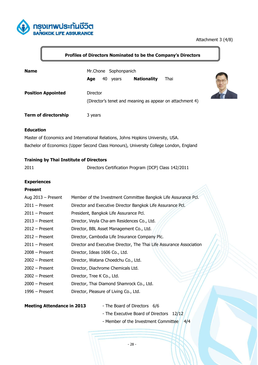

# Attachment 3 (4/8)

# **Profiles of Directors Nominated to be the Company's Directors**

| <b>Name</b>                 | Mr.Chone Sophonpanich<br><b>Nationality</b><br>40<br>Thai<br>Age<br>years |  |
|-----------------------------|---------------------------------------------------------------------------|--|
| <b>Position Appointed</b>   | Director<br>(Director's tenet and meaning as appear on attachment 4)      |  |
| <b>Term of directorship</b> | 3 years                                                                   |  |

# **Education**

Master of Economics and International Relations, Johns Hopkins University, USA. Bachelor of Economics (Upper Second Class Honours), University College London, England

# **Training by Thai Institute of Directors**

2011 Directors Certification Program (DCP) Class 142/2011

#### **Experiences**

## **Present**

| Aug $2013$ – Present | Member of the Investment Committee Bangkok Life Assurance Pcl.       |
|----------------------|----------------------------------------------------------------------|
| $2011 -$ Present     | Director and Executive Director Bangkok Life Assurance Pcl.          |
| $2011 -$ Present     | President, Bangkok Life Assurance Pcl.                               |
| $2013$ – Present     | Director, Veyla Cha-am Residences Co., Ltd.                          |
| $2012 -$ Present     | Director, BBL Asset Management Co., Ltd.                             |
| $2012 -$ Present     | Director, Cambodia Life Insurance Company Plc.                       |
| $2011 -$ Present     | Director and Executive Director, The Thai Life Assurance Association |
| $2008 -$ Present     | Director, Ideas 1606 Co., Ltd.                                       |
| $2002 -$ Present     | Director, Watana Choedchu Co., Ltd.                                  |
| $2002 -$ Present     | Director, Diachrome Chemicals Ltd.                                   |
| $2002 -$ Present     | Director, Tree K Co., Ltd.                                           |
| $2000 -$ Present     | Director, Thai Diamond Shamrock Co., Ltd.                            |
| $1996$ – Present     | Director, Pleasure of Living Co., Ltd.                               |
|                      |                                                                      |

# **Meeting Attendance in 2013** - The Board of Directors 6/6

- 
- The Executive Board of Directors 12/12
- Member of the Investment Committee 4/4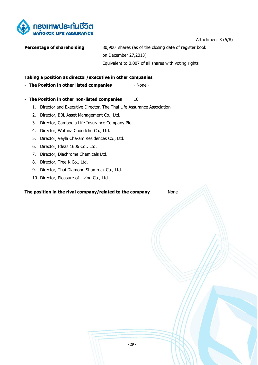

Attachment 3 (5/8)

| Percentage of shareholding | 80,900 shares (as of the closing date of register book |
|----------------------------|--------------------------------------------------------|
|                            | on December 27,2013)                                   |
|                            | Equivalent to 0.007 of all shares with voting rights   |

# **Taking a position as director/executive in other companies**

# **- The Position in other listed companies - None -**

- **The Position in other non-listed companies** 10
	- 1. Director and Executive Director, The Thai Life Assurance Association
	- 2. Director, BBL Asset Management Co., Ltd.
	- 3. Director, Cambodia Life Insurance Company Plc.
	- 4. Director, Watana Choedchu Co., Ltd.
	- 5. Director, Veyla Cha-am Residences Co., Ltd.
	- 6. Director, Ideas 1606 Co., Ltd.
	- 7. Director, Diachrome Chemicals Ltd.
	- 8. Director, Tree K Co., Ltd.
	- 9. Director, Thai Diamond Shamrock Co., Ltd.
	- 10. Director, Pleasure of Living Co., Ltd.

**The position in the rival company/related to the company** - None -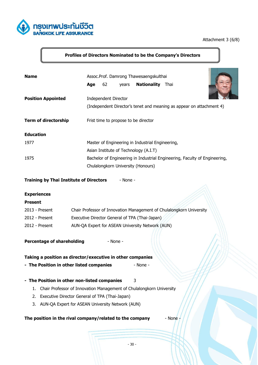

# Attachment 3 (6/8)

# **Profiles of Directors Nominated to be the Company's Directors**

| <b>Name</b>                                    | Assoc.Prof. Damrong Thawesaengskulthai<br><b>Nationality</b><br>62<br>Thai<br>Age<br>years |
|------------------------------------------------|--------------------------------------------------------------------------------------------|
| <b>Position Appointed</b>                      | <b>Independent Director</b>                                                                |
|                                                | (Independent Director's tenet and meaning as appear on attachment 4)                       |
| <b>Term of directorship</b>                    | Frist time to propose to be director                                                       |
| <b>Education</b>                               |                                                                                            |
| 1977                                           | Master of Engineering in Industrial Engineering,                                           |
|                                                | Asian Institute of Technology (A.I.T)                                                      |
| 1975                                           | Bachelor of Engineering in Industrial Engineering, Faculty of Engineering,                 |
|                                                | Chulalongkorn University (Honours)                                                         |
| <b>Training by Thai Institute of Directors</b> | - None -                                                                                   |
| <b>Experiences</b>                             |                                                                                            |
| <b>Present</b>                                 |                                                                                            |
| 2013 - Present                                 | Chair Professor of Innovation Management of Chulalongkorn University                       |
| 2012 - Present                                 | Executive Director General of TPA (Thai-Japan)                                             |
| 2012 - Present                                 | AUN-QA Expert for ASEAN University Network (AUN)                                           |
| <b>Percentage of shareholding</b>              | - None -                                                                                   |
|                                                | Taking a position as director/executive in other companies                                 |
| - The Position in other listed companies       | - None -                                                                                   |
| - The Position in other non-listed companies   | 3                                                                                          |
| 1.                                             | Chair Professor of Innovation Management of Chulalongkorn University                       |
| 2.                                             | Executive Director General of TPA (Thai-Japan)                                             |
| 3.                                             | AUN-QA Expert for ASEAN University Network (AUN)                                           |
|                                                | The position in the rival company/related to the company<br>- None                         |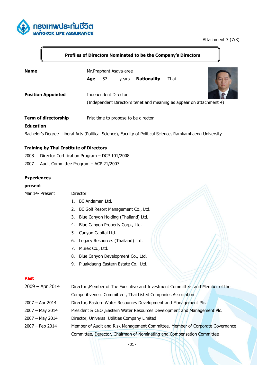

# Attachment 3 (7/8)

# **Profiles of Directors Nominated to be the Company's Directors**

| <b>Name</b>                 | Mr. Praphant Asava-aree |                             |       |                                      |                                                                      |  |
|-----------------------------|-------------------------|-----------------------------|-------|--------------------------------------|----------------------------------------------------------------------|--|
|                             | Age                     | 57                          | years | <b>Nationality</b>                   | Thai                                                                 |  |
| <b>Position Appointed</b>   |                         | <b>Independent Director</b> |       |                                      | (Independent Director's tenet and meaning as appear on attachment 4) |  |
| <b>Term of directorship</b> |                         |                             |       | Frist time to propose to be director |                                                                      |  |

#### **Education**

Bachelor's Degree Liberal Arts (Political Science), Faculty of Political Science, Ramkamhaeng University

## **Training by Thai Institute of Directors**

- 2008 Director Certification Program DCP 101/2008
- 2007 Audit Committee Program ACP 21/2007

#### **Experiences**

#### **present**

| Mar 14- Present | Director |
|-----------------|----------|
|-----------------|----------|

- 1. BC Andaman Ltd.
- 2. BC Golf Resort Management Co., Ltd.
- 3. Blue Canyon Holding (Thailand) Ltd.
- 4. Blue Canyon Property Corp., Ltd.
- 5. Canyon Capital Ltd.
- 6. Legacy Resources (Thailand) Ltd.
- 7. Murex Co., Ltd.
- 8. Blue Canyon Development Co., Ltd.
- 9. Pluakdaeng Eastern Estate Co., Ltd.

## **Past**

| $2009 - Apr 2014$ | Director , Member of The Executive and Investment Committee and Member of the |
|-------------------|-------------------------------------------------------------------------------|
|                   | Competitiveness Committee, Thai Listed Companies Association                  |
| $2007 - Apr 2014$ | Director, Eastern Water Resources Development and Management Plc.             |
| $2007 - May 2014$ | President & CEO, Eastern Water Resources Development and Management Plc.      |
| $2007 - May 2014$ | Director, Universal Utilities Company Limited                                 |
| 2007 - Feb 2014   | Member of Audit and Risk Management Committee, Member of Corporate Governance |
|                   | Committee, Derector, Chairman of Nominating and Compensation Committee        |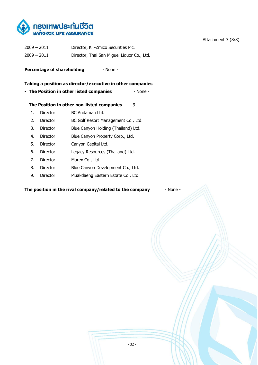

| $2009 - 2011$ | Director, KT-Zmico Securities Plc.         |
|---------------|--------------------------------------------|
| $2009 - 2011$ | Director, Thai San Miguel Liguor Co., Ltd. |

**Percentage of shareholding**  $\qquad$  - None -

## **Taking a position as director/executive in other companies**

- **The Position in other listed companies None -**
- **The Position in other non-listed companies** 9
	- 1. Director BC Andaman Ltd.
	- 2. Director BC Golf Resort Management Co., Ltd.
	- 3. Director Blue Canyon Holding (Thailand) Ltd.
	- 4. Director Blue Canyon Property Corp., Ltd.
	- 5. Director Canyon Capital Ltd.
	- 6. Director Legacy Resources (Thailand) Ltd.
	- 7. Director Murex Co., Ltd.
	- 8. Director Blue Canyon Development Co., Ltd.
	- 9. Director Pluakdaeng Eastern Estate Co., Ltd.

**The position in the rival company/related to the company** - None -

Attachment 3 (8/8)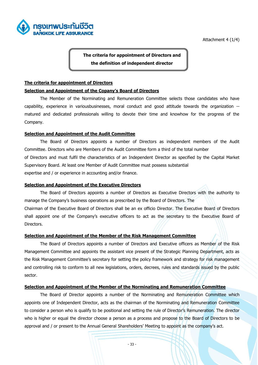

Attachment 4 (1/4)

**The criteria for appointment of Directors and the definition of independent director**

## **The criteria for appointment of Directors**

#### **Selection and Appointment of the Copany's Board of Directors**

The Member of the Norminating and Remuneration Committee selects those candidates who have capability, experience in variousbusinesses, moral conduct and good attitude towards the organization - matured and dedicated professionals willing to devote their time and knowhow for the progress of the Company.

#### **Selection and Appointment of the Audit Committee**

The Board of Directors appoints a number of Directors as independent members of the Audit Committee. Directors who are Members of the Audit Committee form a third of the total number of Directors and must fulfil the characteristics of an Independent Director as specified by the Capital Market Supervisory Board. At least one Member of Audit Committee must possess substantial expertise and / or experience in accounting and/or finance.

#### **Selection and Appointment of the Executive Directors**

The Board of Directors appoints a number of Directors as Executive Directors with the authority to manage the Company's business operations as prescribed by the Board of Directors. The Chairman of the Executive Board of Directors shall be an ex officio Director. The Executive Board of Directors shall appoint one of the Company's executive officers to act as the secretary to the Executive Board of Directors.

#### **Selection and Appointment of the Member of the Risk Management Committee**

The Board of Directors appoints a number of Directors and Executive officers as Member of the Risk Management Committee and appoints the assistant vice present of the Strategic Planning Department, acts as the Risk Management Committee's secretary for setting the policy framework and strategy for risk management and controlling risk to conform to all new legislations, orders, decrees, rules and standards issued by the public sector.

# **Selection and Appointment of the Member of the Norminating and Remuneration Committee**

The Board of Director appoints a number of the Norminating and Remuneration Committee which appoints one of Independent Director, acts as the chairman of the Norminating and Remuneration Committee to consider a person who is qualify to be positional and setting the rule of Director's Remuneration. The director who is higher or equal the director choose a person as a process and propose to the Board of Directors to be approval and / or present to the Annual General Shareholders' Meeting to appoint as the company's act.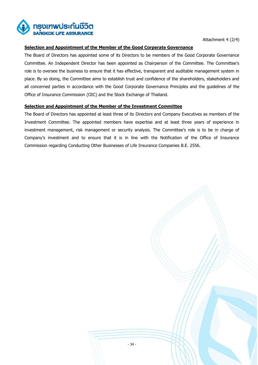

Attachment 4 (2/4)

# **Selection and Appointment of the Member of the Good Corperate Governance**

The Board of Directors has appointed some of its Directors to be members of the Good Corporate Governance Committee. An Independent Director has been appointed as Chairperson of the Committee. The Committee's role is to oversee the business to ensure that it has effective, transparent and auditable management system in place. By so doing, the Committee aims to establish trust and confidence of the shareholders, stakeholders and all concerned parties in accordance with the Good Corporate Governance Principles and the guidelines of the Office of Insurance Commission (OIC) and the Stock Exchange of Thailand.

# **Selection and Appointment of the Member of the Investment Committee**

The Board of Directors has appointed at least three of its Directors and Company Executives as members of the Investment Committee. The appointed members have expertise and at least three years of experience in investment management, risk management or security analysis. The Committee's role is to be in charge of Company's investment and to ensure that it is in line with the Notification of the Office of Insurance Commission regarding Conducting Other Businesses of Life Insurance Companies B.E. 2556.

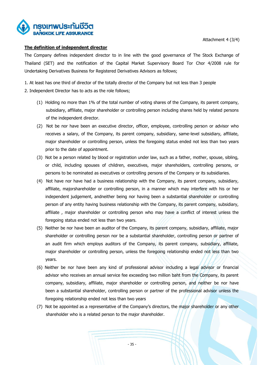

# **The definition of independent director**

The Company defines independent director to in line with the good governance of The Stock Exchange of Thailand (SET) and the notification of the Capital Market Supervisory Board Tor Chor 4/2008 rule for Undertaking Derivatives Business for Registered Derivatives Advisors as follows;

1. At least has one third of director of the totally director of the Company but not less than 3 people

- 2. Independent Director has to acts as the role follows;
	- (1) Holding no more than 1% of the total number of voting shares of the Company, its parent company, subsidiary, affiliate, major shareholder or controlling person including shares held by related persons of the independent director.
	- (2) Not be nor have been an executive director, officer, employee, controlling person or advisor who receives a salary, of the Company, its parent company, subsidiary, same-level subsidiary, affiliate, major shareholder or controlling person, unless the foregoing status ended not less than two years prior to the date of appointment.
	- (3) Not be a person related by blood or registration under law, such as a father, mother, spouse, sibling, or child, including spouses of children, executives, major shareholders, controlling persons, or persons to be nominated as executives or controlling persons of the Company or its subsidiaries.
	- (4) Not have nor have had a business relationship with the Company, its parent company, subsidiary, affiliate, majorshareholder or controlling person, in a manner which may interfere with his or her independent judgement, andneither being nor having been a substantial shareholder or controlling person of any entity having business relationship with the Company, its parent company, subsidiary, affiliate , major shareholder or controlling person who may have a conflict of interest unless the foregoing status ended not less than two years.
	- (5) Neither be nor have been an auditor of the Company, its parent company, subsidiary, affiliate, major shareholder or controlling person nor be a substantial shareholder, controlling person or partner of an audit firm which employs auditors of the Company, its parent company, subsidiary, affiliate, major shareholder or controlling person, unless the foregoing relationship ended not less than two years.
	- (6) Neither be nor have been any kind of professional advisor including a legal advisor or financial advisor who receives an annual service fee exceeding two million baht from the Company, its parent company, subsidiary, affiliate, major shareholder or controlling person, and neither be nor have been a substantial shareholder, controlling person or partner of the professional advisor unless the foregoing relationship ended not less than two years
	- (7) Not be appointed as a representative of the Company's directors, the major shareholder or any other shareholder who is a related person to the major shareholder.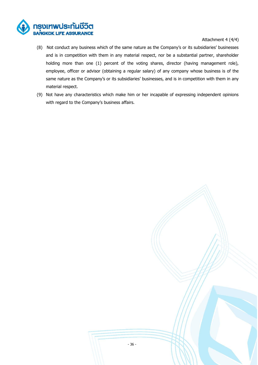

# Attachment 4 (4/4)

- (8) Not conduct any business which of the same nature as the Company's or its subsidiaries' businesses and is in competition with them in any material respect, nor be a substantial partner, shareholder holding more than one (1) percent of the voting shares, director (having management role), employee, officer or advisor (obtaining a regular salary) of any company whose business is of the same nature as the Company's or its subsidiaries' businesses, and is in competition with them in any material respect.
- (9) Not have any characteristics which make him or her incapable of expressing independent opinions with regard to the Company's business affairs.

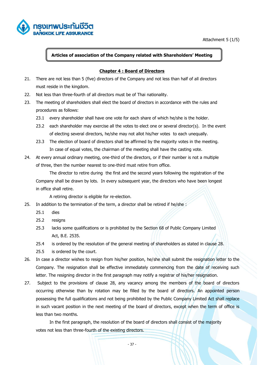

Attachment 5 (1/5)

# **Articles of association of the Company related with Shareholders' Meeting**

# **Chapter 4 : Board of Directors**

- 21. There are not less than 5 (five) directors of the Company and not less than half of all directors must reside in the kingdom.
- 22. Not less than three-fourth of all directors must be of Thai nationality.
- 23. The meeting of shareholders shall elect the board of directors in accordance with the rules and procedures as follows:
	- 23.1 every shareholder shall have one vote for each share of which he/she is the holder.
	- 23.2 each shareholder may exercise all the votes to elect one or several director(s). In the event of electing several directors, he/she may not allot his/her votes to each unequally.
	- 23.3 The election of board of directors shall be affirmed by the majority votes in the meeting. In case of equal votes, the chairman of the meeting shall have the casting vote.
- 24. At every annual ordinary meeting, one-third of the directors, or if their number is not a multiple of three, then the number nearest to one-third must retire from office.

The director to retire during the first and the second years following the registration of the Company shall be drawn by lots. In every subsequent year, the directors who have been longest in office shall retire.

A retiring director is eligible for re-election.

- 25. In addition to the termination of the term, a director shall be retired if he/she :
	- 25.1 dies
	- 25.2 resigns
	- 25.3 lacks some qualifications or is prohibited by the Section 68 of Public Company Limited Act, B.E. 2535.
	- 25.4 is ordered by the resolution of the general meeting of shareholders as stated in clause 28.
	- 25.5 is ordered by the court.
- 26. In case a director wishes to resign from his/her position, he/she shall submit the resignation letter to the Company. The resignation shall be effective immediately commencing from the date of receiving such letter. The resigning director in the first paragraph may notify a registrar of his/her resignation.
- 27. Subject to the provisions of clause 28, any vacancy among the members of the board of directors occurring otherwise than by rotation may be filled by the board of directors. An appointed person possessing the full qualifications and not being prohibited by the Public Company Limited Act shall replace in such vacant position in the next meeting of the board of directors, except when the term of office is less than two months.

In the first paragraph, the resolution of the board of directors shall consist of the majority votes not less than three-fourth of the existing directors.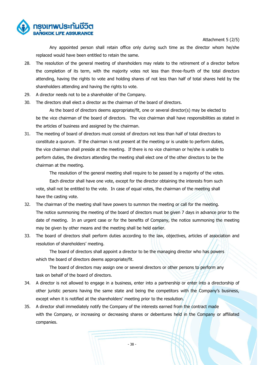

Attachment 5 (2/5)

Any appointed person shall retain office only during such time as the director whom he/she replaced would have been entitled to retain the same.

- 28. The resolution of the general meeting of shareholders may relate to the retirement of a director before the completion of its term, with the majority votes not less than three-fourth of the total directors attending, having the rights to vote and holding shares of not less than half of total shares held by the shareholders attending and having the rights to vote.
- 29. A director needs not to be a shareholder of the Company.
- 30. The directors shall elect a director as the chairman of the board of directors.

As the board of directors deems appropriate/fit, one or several director(s) may be elected to be the vice chairman of the board of directors. The vice chairman shall have responsibilities as stated in the articles of business and assigned by the chairman.

31. The meeting of board of directors must consist of directors not less than half of total directors to constitute a quorum. If the chairman is not present at the meeting or is unable to perform duties, the vice chairman shall preside at the meeting. If there is no vice chairman or he/she is unable to perform duties, the directors attending the meeting shall elect one of the other directors to be the chairman at the meeting.

The resolution of the general meeting shall require to be passed by a majority of the votes. Each director shall have one vote, except for the director obtaining the interests from such vote, shall not be entitled to the vote. In case of equal votes, the chairman of the meeting shall have the casting vote.

- 32. The chairman of the meeting shall have powers to summon the meeting or call for the meeting. The notice summoning the meeting of the board of directors must be given 7 days in advance prior to the date of meeting. In an urgent case or for the benefits of Company, the notice summoning the meeting may be given by other means and the meeting shall be held earlier.
- 33. The board of directors shall perform duties according to the law, objectives, articles of association and resolution of shareholders' meeting.

The board of directors shall appoint a director to be the managing director who has powers which the board of directors deems appropriate/fit.

The board of directors may assign one or several directors or other persons to perform any task on behalf of the board of directors.

- 34. A director is not allowed to engage in a business, enter into a partnership or enter into a directorship of other juristic persons having the same state and being the competitors with the Company's business, except when it is notified at the shareholders' meeting prior to the resolution.
- 35. A director shall immediately notify the Company of the interests earned from the contract made with the Company, or increasing or decreasing shares or debentures held in the Company or affiliated companies.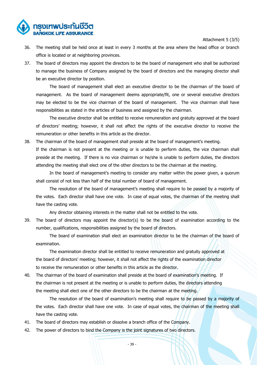Attachment 5 (3/5)

36. The meeting shall be held once at least in every 3 months at the area where the head office or branch

office is located or at neighboring provinces.

ารงเทพประกันชีวิต

37. The board of directors may appoint the directors to be the board of management who shall be authorized to manage the business of Company assigned by the board of directors and the managing director shall be an executive director by position.

The board of management shall elect an executive director to be the chairman of the board of management. As the board of management deems appropriate/fit, one or several executive directors may be elected to be the vice chairman of the board of management. The vice chairman shall have responsibilities as stated in the articles of business and assigned by the chairman.

The executive director shall be entitled to receive remuneration and gratuity approved at the board of directors' meeting; however, it shall not affect the rights of the executive director to receive the remuneration or other benefits in this article as the director.

38. The chairman of the board of management shall preside at the board of management's meeting.

If the chairman is not present at the meeting or is unable to perform duties, the vice chairman shall preside at the meeting. If there is no vice chairman or he/she is unable to perform duties, the directors attending the meeting shall elect one of the other directors to be the chairman at the meeting.

In the board of management's meeting to consider any matter within the power given, a quorum shall consist of not less than half of the total number of board of management.

The resolution of the board of management's meeting shall require to be passed by a majority of the votes. Each director shall have one vote. In case of equal votes, the chairman of the meeting shall have the casting vote.

Any director obtaining interests in the matter shall not be entitled to the vote.

39. The board of directors may appoint the director(s) to be the board of examination according to the number, qualifications, responsibilities assigned by the board of directors.

The board of examination shall elect an examination director to be the chairman of the board of examination.

The examination director shall be entitled to receive remuneration and gratuity approved at the board of directors' meeting; however, it shall not affect the rights of the examination director to receive the remuneration or other benefits in this article as the director.

40. The chairman of the board of examination shall preside at the board of examination's meeting. If the chairman is not present at the meeting or is unable to perform duties, the directors attending the meeting shall elect one of the other directors to be the chairman at the meeting.

The resolution of the board of examination's meeting shall require to be passed by a majority of the votes. Each director shall have one vote. In case of equal votes, the chairman of the meeting shall have the casting vote.

- 41. The board of directors may establish or dissolve a branch office of the Company.
- 42. The power of directors to bind the Company is the joint signatures of two directors.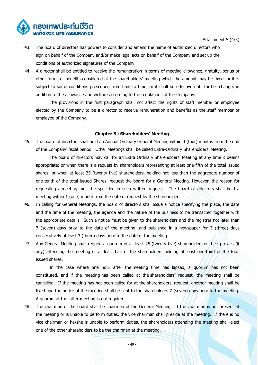

Attachment 5 (4/5)

- 43. The board of directors has powers to consider and amend the name of authorized directors who sign on behalf of the Company and/or make legal acts on behalf of the Company and set up the conditions of authorized signatures of the Company.
- 44. A director shall be entitled to receive the remuneration in terms of meeting allowance, gratuity, bonus or other forms of benefits considered at the shareholders' meeting which the amount may be fixed, or it is subject to some conditions prescribed from time to time, or it shall be effective until further change, in addition to the allowance and welfare according to the regulations of the Company.

The provisions in the first paragraph shall not affect the rights of staff member or employee elected by the Company to be a director to receive remuneration and benefits as the staff member or employee of the Company.

#### **Chapter 5 : Shareholders' Meeting**

45. The board of directors shall hold an Annual Ordinary General Meeting within 4 (four) months from the end of the Company' fiscal period. Other Meetings shall be called Extra-Ordinary Shareholders' Meeting.

The board of directors may call for an Extra Ordinary Shareholders' Meeting at any time it deems appropriate; or when there is a request by shareholders representing at least one-fifth of the total issued shares; or when at least 25 (twenty five) shareholders, holding not less than the aggregate number of one-tenth of the total issued Shares, request the board for a General Meeting. However, the reason for requesting a meeting must be specified in such written request. The board of directors shall hold a meeting within 1 (one) month from the date of request by the shareholders.

- 46. In calling for General Meetings, the board of directors shall issue a notice specifying the place, the date and the time of the meeting, the agenda and the nature of the business to be transacted together with the appropriate details. Such a notice must be given to the shareholders and the registrar not later than 7 (seven) days prior to the date of the meeting, and published in a newspaper for 3 (three) days consecutively at least 3 (three) days prior to the date of the meeting.
- 47. Any General Meeting shall require a quorum of at least 25 (twenty five) shareholders or their proxies (if any) attending the meeting or at least half of the shareholders holding at least one-third of the total issued shares.

In the case where one hour after the meeting time has lapsed, a quorum has not been constituted, and if the meeting has been called at the shareholders' request, the meeting shall be cancelled. If the meeting has not been called for at the shareholders' request, another meeting shall be fixed and the notice of the meeting shall be sent to the shareholders 7 (seven) days prior to the meeting. A quorum at the latter meeting is not required.

48. The chairman of the board shall be chairman of the General Meeting. If the chairman is not present at the meeting or is unable to perform duties, the vice chairman shall preside at the meeting. If there is no vice chairman or he/she is unable to perform duties, the shareholders attending the meeting shall elect one of the other shareholders to be the chairman at the meeting.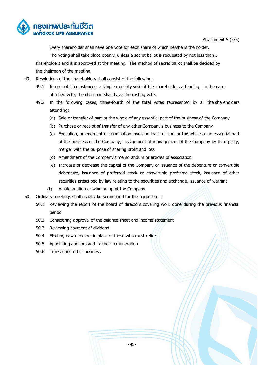

Attachment 5 (5/5)

Every shareholder shall have one vote for each share of which he/she is the holder.

The voting shall take place openly, unless a secret ballot is requested by not less than 5 shareholders and it is approved at the meeting. The method of secret ballot shall be decided by the chairman of the meeting.

- 49. Resolutions of the shareholders shall consist of the following:
	- 49.1 In normal circumstances, a simple majority vote of the shareholders attending. In the case of a tied vote, the chairman shall have the casting vote.
	- 49.2 In the following cases, three-fourth of the total votes represented by all the shareholders attending:
		- (a) Sale or transfer of part or the whole of any essential part of the business of the Company
		- (b) Purchase or receipt of transfer of any other Company's business to the Company
		- (c) Execution, amendment or termination involving lease of part or the whole of an essential part of the business of the Company; assignment of management of the Company by third party, merger with the purpose of sharing profit and loss
		- (d) Amendment of the Company's memorandum or articles of association
		- (e) Increase or decrease the capital of the Company or issuance of the debenture or convertible debenture, issuance of preferred stock or convertible preferred stock, issuance of other securities prescribed by law relating to the securities and exchange, issuance of warrant
		- (f) Amalgamation or winding up of the Company
- 50. Ordinary meetings shall usually be summoned for the purpose of :
	- 50.1 Reviewing the report of the board of directors covering work done during the previous financial period
	- 50.2 Considering approval of the balance sheet and income statement
	- 50.3 Reviewing payment of dividend
	- 50.4 Electing new directors in place of those who must retire
	- 50.5 Appointing auditors and fix their remuneration
	- 50.6 Transacting other business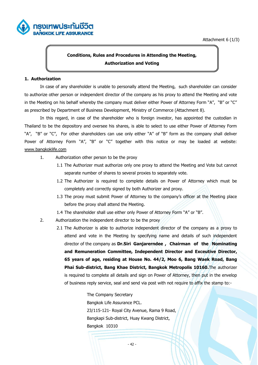

# **Conditions, Rules and Procedures in Attending the Meeting, Authorization and Voting**

# **1. Authorization**

ารงเทพประกันชีวิต

In case of any shareholder is unable to personally attend the Meeting, such shareholder can consider to authorize other person or independent director of the company as his proxy to attend the Meeting and vote in the Meeting on his behalf whereby the company must deliver either Power of Attorney Form "A", "B" or "C" as prescribed by Department of Business Development, Ministry of Commerce (Attachment 8).

In this regard, in case of the shareholder who is foreign investor, has appointed the custodian in Thailand to be the depository and oversee his shares, is able to select to use either Power of Attorney Form "A", "B" or "C", For other shareholders can use only either "A" of "B" form as the company shall deliver Power of Attorney Form "A", "B" or "C" together with this notice or may be loaded at website: [www.bangkoklife.com](http://www.bangkoklife.com/)

- 1. Authorization other person to be the proxy
	- 1.1 The Authorizer must authorize only one proxy to attend the Meeting and Vote but cannot separate number of shares to several proxies to separately vote.
	- 1.2 The Authorizer is required to complete details on Power of Attorney which must be completely and correctly signed by both Authorizer and proxy.
	- 1.3 The proxy must submit Power of Attorney to the company's officer at the Meeting place before the proxy shall attend the Meeting.
	- 1.4 The shareholder shall use either only Power of Attorney Form "A" or "B".
- 2. Authorization the independent director to be the proxy
	- 2.1 The Authorizer is able to authorize independent director of the company as a proxy to attend and vote in the Meeting by specifying name and details of such independent director of the company as **Dr.Siri Ganjarerndee , Chairman of the Nominating and Remuneration Committee, Independent Director and Exceutive Director, 65 years of age, residing at House No. 44/2, Moo 6, Bang Waek Road, Bang Phai Sub-district, Bang Khae District, Bangkok Metropolis 10160.**The authorizer is required to complete all details and sign on Power of Attorney, then put in the envelop of business reply service, seal and send via post with not require to affix the stamp to:-

The Company Secretary Bangkok Life Assurance PCL. 23/115-121- Royal City Avenue, Rama 9 Road, Bangkapi Sub-district, Huay Kwang District, Bangkok 10310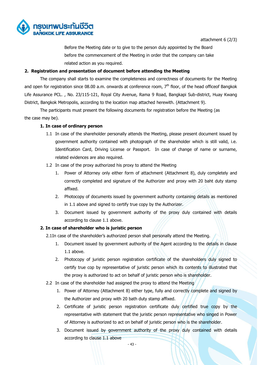

attachment 6 (2/3)

Before the Meeting date or to give to the person duly appointed by the Board before the commencement of the Meeting in order that the company can take related action as you required.

# **2. Registration and presentation of document before attending the Meeting**

The company shall starts to examine the completeness and correctness of documents for the Meeting and open for registration since 08.00 a.m. onwards at conference room,  $7<sup>th</sup>$  floor, of the head officeof Bangkok Life Assurance PCL. , No. 23/115-121, Royal City Avenue, Rama 9 Road, Bangkapi Sub-district, Huay Kwang District, Bangkok Metropolis, according to the location map attached herewith. (Attachment 9).

The participants must present the following documents for registration before the Meeting (as the case may be).

# **1. In case of ordinary person**

- 1.1 In case of the shareholder personally attends the Meeting, please present document issued by government authority contained with photograph of the shareholder which is still valid, i.e. Identification Card, Driving License or Passport. In case of change of name or surname, related evidences are also required.
- 1.2 In case of the proxy authorized his proxy to attend the Meeting
	- 1. Power of Attorney only either form of attachment (Attachment 8), duly completely and correctly completed and signature of the Authorizer and proxy with 20 baht duty stamp affixed.
	- 2. Photocopy of documents issued by government authority containing details as mentioned in 1.1 above and signed to certify true copy by the Authorizer.
	- 3. Document issued by government authority of the proxy duly contained with details according to clause 1.1 above.

# **2. In case of shareholder who is juristic person**

2.1In case of the shareholder's authorized person shall personally attend the Meeting.

- 1. Document issued by government authority of the Agent according to the details in clause 1.1 above.
- 2. Photocopy of juristic person registration certificate of the shareholders duly signed to certify true cop by representative of juristic person which its contents to illustrated that the proxy is authorized to act on behalf of juristic person who is shareholder.
- 2.2 In case of the shareholder had assigned the proxy to attend the Meeting
	- 1. Power of Attorney (Attachment 8) either type, fully and correctly complete and signed by the Authorizer and proxy with 20 bath duty stamp affixed.
	- 2. Certificate of juristic person registration certificate duly certified true copy by the representative with statement that the juristic person representative who singed in Power of Attorney is authorized to act on behalf of juristic person who is the shareholder.
	- 3. Document issued by government authority of the proxy duly contained with details according to clause 1.1 above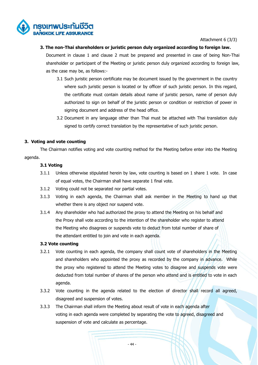

Attachment 6 (3/3)

#### **3. The non-Thai shareholders or juristic person duly organized according to foreign law.**

Document in clause 1 and clause 2 must be prepared and presented in case of being Non-Thai shareholder or participant of the Meeting or juristic person duly organized according to foreign law, as the case may be, as follows:-

- 3.1 Such juristic person certificate may be document issued by the government in the country where such juristic person is located or by officer of such juristic person. In this regard, the certificate must contain details about name of juristic person, name of person duly authorized to sign on behalf of the juristic person or condition or restriction of power in signing document and address of the head office.
- 3.2 Document in any language other than Thai must be attached with Thai translation duly signed to certify correct translation by the representative of such juristic person.

# **3. Voting and vote counting**

The Chairman notifies voting and vote counting method for the Meeting before enter into the Meeting agenda.

# **3.1 Voting**

- 3.1.1 Unless otherwise stipulated herein by law, vote counting is based on 1 share 1 vote. In case of equal votes, the Chairman shall have separate 1 final vote.
- 3.1.2 Voting could not be separated nor partial votes.
- 3.1.3 Voting in each agenda, the Chairman shall ask member in the Meeting to hand up that whether there is any object nor suspend vote.
- 3.1.4 Any shareholder who had authorized the proxy to attend the Meeting on his behalf and the Proxy shall vote according to the intention of the shareholder who register to attend the Meeting who disagrees or suspends vote to deduct from total number of share of the attendant entitled to join and vote in each agenda.

#### **3.2 Vote counting**

- 3.2.1 Vote counting in each agenda, the company shall count vote of shareholders in the Meeting and shareholders who appointed the proxy as recorded by the company in advance. While the proxy who registered to attend the Meeting votes to disagree and suspends vote were deducted from total number of shares of the person who attend and is entitled to vote in each agenda.
- 3.3.2 Vote counting in the agenda related to the election of director shall record all agreed, disagreed and suspension of votes.
- 3.3.3 The Chairman shall inform the Meeting about result of vote in each agenda after voting in each agenda were completed by separating the vote to agreed, disagreed and suspension of vote and calculate as percentage.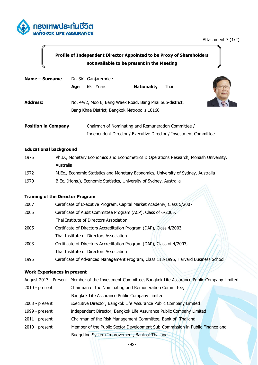

# **Profile of Independent Director Appointed to be Proxy of Shareholders not available to be present in the Meeting**

| Name – Surname             |     | Dr. Siri Ganjarerndee                                                                                    |                    |                                                                  |  |
|----------------------------|-----|----------------------------------------------------------------------------------------------------------|--------------------|------------------------------------------------------------------|--|
|                            | Age | Years<br>65                                                                                              | <b>Nationality</b> | Thai                                                             |  |
| <b>Address:</b>            |     | No. 44/2, Moo 6, Bang Waek Road, Bang Phai Sub-district,<br>Bang Khae District, Bangkok Metropolis 10160 |                    |                                                                  |  |
| <b>Position in Company</b> |     | Chairman of Nominating and Remuneration Committee /                                                      |                    |                                                                  |  |
|                            |     |                                                                                                          |                    | Independent Director / Executive Director / Investment Committee |  |

# **Educational background**

| 1975 | Ph.D., Monetary Economics and Econometrics & Operations Research, Monash University, |
|------|--------------------------------------------------------------------------------------|
|      | Australia                                                                            |
| 1972 | M.Ec., Economic Statistics and Monetary Economics, University of Sydney, Australia   |
| 1970 | B.Ec. (Hons.), Economic Statistics, University of Sydney, Australia                  |

# **Training of the Director Program**

| 2007 | Certificate of Executive Program, Capital Market Academy, Class 5/2007              |
|------|-------------------------------------------------------------------------------------|
| 2005 | Certificate of Audit Committee Program (ACP), Class of 6/2005,                      |
|      | Thai Institute of Directors Association                                             |
| 2005 | Certificate of Directors Accreditation Program (DAP), Class 4/2003,                 |
|      | Thai Institute of Directors Association                                             |
| 2003 | Certificate of Directors Accreditation Program (DAP), Class of 4/2003,              |
|      | Thai Institute of Directors Association                                             |
| 1995 | Certificate of Advanced Management Program, Class 113/1995, Harvard Business School |

# **Work Experiences in present**

|                  | August 2013 - Present Member of the Investment Committee, Bangkok Life Assurance Public Company Limited |
|------------------|---------------------------------------------------------------------------------------------------------|
| $2010$ - present | Chairman of the Nominating and Remuneration Committee,                                                  |
|                  | Bangkok Life Assurance Public Company Limited                                                           |
| $2003$ - present | Executive Director, Bangkok Life Assurance Public Company Limited                                       |
| 1999 - present   | Independent Director, Bangkok Life Assurance Public Company Limited                                     |
| $2011$ - present | Chairman of the Risk Management Committee, Bank of Thailand                                             |
| $2010$ - present | Member of the Public Sector Development Sub-Commission in Public Finance and                            |
|                  | Budgeting System Improvement, Bank of Thailand                                                          |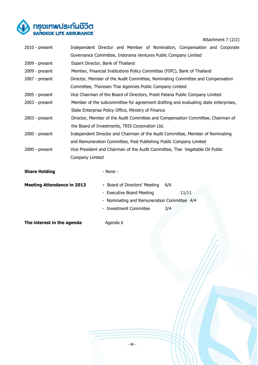

Attachment 7 (2/2)

| $2010$ - present                  | Independent Director and Member of Nomination, Compensation and Corporate           |                        |                                             |     |       |  |
|-----------------------------------|-------------------------------------------------------------------------------------|------------------------|---------------------------------------------|-----|-------|--|
|                                   | Governance Committee, Indorama Ventures Public Company Limited                      |                        |                                             |     |       |  |
| $2009$ - present                  | Expert Director, Bank of Thailand                                                   |                        |                                             |     |       |  |
| 2009 - present                    | Member, Financial Institutions Policy Committee (FIPC), Bank of Thailand            |                        |                                             |     |       |  |
| $2007$ - present                  | Director, Member of the Audit Committee, Nominating Committee and Compensation      |                        |                                             |     |       |  |
|                                   | Committee, Thoresen Thai Agencies Public Company Limited                            |                        |                                             |     |       |  |
| $2005$ - present                  | Vice Chairman of the Board of Directors, Prasit Patana Public Company Limited       |                        |                                             |     |       |  |
| $2003$ - present                  | Member of the subcommittee for agreement drafting and evaluating state enterprises, |                        |                                             |     |       |  |
|                                   | State Enterprise Policy Office, Ministry of Finance                                 |                        |                                             |     |       |  |
| $2003$ - present                  | Director, Member of the Audit Committee and Compensation Committee, Chairman of     |                        |                                             |     |       |  |
|                                   | the Board of Investments, TRIS Corporation Ltd.                                     |                        |                                             |     |       |  |
| $2000 - present$                  | Independent Director and Chairman of the Audit Committee, Member of Nominating      |                        |                                             |     |       |  |
|                                   | and Remuneration Committee, Post Publishing Public Company Limited                  |                        |                                             |     |       |  |
| $2000 - present$                  | Vice President and Chairman of the Audit Committee, Thai Vegetable Oil Public       |                        |                                             |     |       |  |
|                                   | Company Limited                                                                     |                        |                                             |     |       |  |
| <b>Share Holding</b>              |                                                                                     | - None -               |                                             |     |       |  |
| <b>Meeting Attendance in 2013</b> |                                                                                     |                        | - Board of Directors' Meeting               | 6/6 |       |  |
|                                   |                                                                                     |                        | - Executive Board Meeting                   |     | 11/11 |  |
|                                   |                                                                                     |                        | - Nominating and Remuneration Committee 4/4 |     |       |  |
|                                   |                                                                                     | - Investment Commiitee |                                             | 3/4 |       |  |
|                                   |                                                                                     |                        |                                             |     |       |  |
| The interest in the agenda        |                                                                                     | Agenda 6               |                                             |     |       |  |
|                                   |                                                                                     |                        |                                             |     |       |  |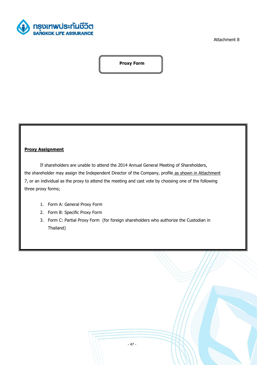

Attachment 8

**Proxy Form**

# **Proxy Assignment**

If shareholders are unable to attend the 2014 Annual General Meeting of Shareholders, the shareholder may assign the Independent Director of the Company, profile as shown in Attachment 7, or an individual as the proxy to attend the meeting and cast vote by choosing one of the following three proxy forms;

- 1. Form A: General Proxy Form
- 2. Form B: Specific Proxy Form
- 3. Form C: Partial Proxy Form (for foreign shareholders who authorize the Custodian in Thailand)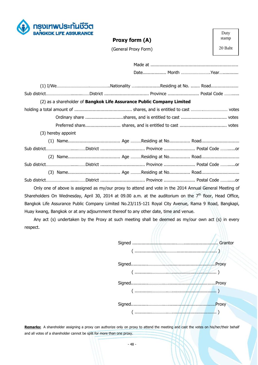

# **Proxy form (A)**

Duty stamp

20 Baht

(General Proxy Form)

|                                                                       |  |  | Sub districtDistrict  Province  Postal Code    |  |
|-----------------------------------------------------------------------|--|--|------------------------------------------------|--|
| (2) as a shareholder of Bangkok Life Assurance Public Company Limited |  |  |                                                |  |
|                                                                       |  |  |                                                |  |
|                                                                       |  |  |                                                |  |
|                                                                       |  |  |                                                |  |
| (3) hereby appoint                                                    |  |  |                                                |  |
|                                                                       |  |  |                                                |  |
|                                                                       |  |  | Sub districtDistrict  Province  Postal Code or |  |
|                                                                       |  |  |                                                |  |
|                                                                       |  |  | Sub districtDistrict  Province  Postal Code or |  |
|                                                                       |  |  |                                                |  |
|                                                                       |  |  |                                                |  |
|                                                                       |  |  |                                                |  |

Only one of above is assigned as my/our proxy to attend and vote in the 2014 Annual General Meeting of Shareholders On Wednesday, April 30, 2014 at 09.00 a.m. at the auditorium on the  $7<sup>th</sup>$  floor, Head Office, Bangkok Life Assurance Public Company Limited No.23/115-121 Royal City Avenue, Rama 9 Road, Bangkapi, Huay kwang, Bangkok or at any adjournment thereof to any other date, time and venue.

Any act (s) undertaken by the Proxy at such meeting shall be deemed as my/our own act (s) in every respect.

|  | Grantor      |
|--|--------------|
|  | <b>Proxy</b> |
|  | Proxy.       |
|  | Proxy        |
|  |              |

Remarks: A shareholder assigning a proxy can authorize only on proxy to attend the meeting and cast the votes on his/her/their behalf and all votes of a shareholder cannot be split for more than one proxy.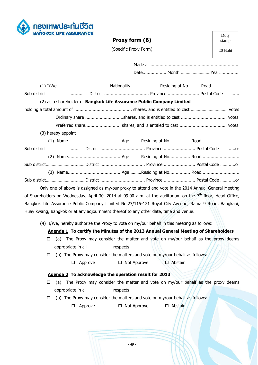

# **Proxy form (B)**

Duty stamp

20 Baht

(Specific Proxy Form)

|                    | Sub districtDistrict  Province  Postal Code                           |  |
|--------------------|-----------------------------------------------------------------------|--|
|                    | (2) as a shareholder of Bangkok Life Assurance Public Company Limited |  |
|                    |                                                                       |  |
|                    |                                                                       |  |
|                    |                                                                       |  |
| (3) hereby appoint |                                                                       |  |
|                    |                                                                       |  |
|                    | Sub districtDistrict  Province  Postal Code or                        |  |
|                    |                                                                       |  |
|                    |                                                                       |  |
|                    |                                                                       |  |
|                    | Sub districtDistrict  Province  Postal Code or                        |  |
|                    |                                                                       |  |

Only one of above is assigned as my/our proxy to attend and vote in the 2014 Annual General Meeting of Shareholders on Wednesday, April 30, 2014 at 09.00 a.m. at the auditorium on the  $7<sup>th</sup>$  floor, Head Office, Bangkok Life Assurance Public Company Limited No.23/115-121 Royal City Avenue, Rama 9 Road, Bangkapi, Huay kwang, Bangkok or at any adjournment thereof to any other date, time and venue.

(4) I/We, hereby authorize the Proxy to vote on my/our behalf in this meeting as follows:

# **Agenda 1 To certify the Minutes of the 2013 Annual General Meeting of Shareholders**

- $\Box$  (a) The Proxy may consider the matter and vote on my/our behalf as the proxy deems appropriate in all respects
- $\Box$  (b) The Proxy may consider the matters and vote on my/our behalf as follows:
	- $\Box$  Approve  $\Box$  Not Approve  $\Box$  Abstain

#### **Agenda 2 To acknowledge the operation result for 2013**

- $\Box$  (a) The Proxy may consider the matter and vote on my/our behalf as the proxy deems appropriate in all respects
- $\Box$  (b) The Proxy may consider the matters and vote on my/our behalf as follows:

 $\Box$  Approve  $\Box$  Not Approve  $\Box$  Abstain

- 49 -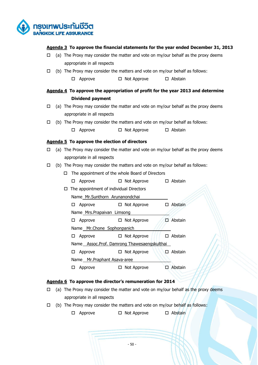

# **Agenda 3 To approve the financial statements for the year ended December 31, 2013**

- $\Box$  (a) The Proxy may consider the matter and vote on my/our behalf as the proxy deems appropriate in all respects
- $\Box$  (b) The Proxy may consider the matters and vote on my/our behalf as follows:
	- $\Box$  Approve  $\Box$  Not Approve  $\Box$  Abstain

# **Agenda 4 To approve the appropriation of profit for the year 2013 and determine Dividend payment**

- $\Box$  (a) The Proxy may consider the matter and vote on my/our behalf as the proxy deems appropriate in all respects
- $\Box$  (b) The Proxy may consider the matters and vote on my/our behalf as follows:
	- $\Box$  Approve  $\Box$  Not Approve  $\Box$  Abstain

#### **Agenda 5 To approve the election of directors**

- $\Box$  (a) The Proxy may consider the matter and vote on my/our behalf as the proxy deems appropriate in all respects
- $\Box$  (b) The Proxy may consider the matters and vote on my/our behalf as follows:
	- $\Box$  The appointment of the whole Board of Directors
	- $\Box$  Approve  $\Box$  Not Approve  $\Box$  Abstain  $\Box$  The appointment of individual Directors Name Mr.Sunthorn Arunanondchai  $\Box$  Approve  $\Box$  Not Approve  $\Box$  Abstain Name Mrs.Prapaivan Limsong  $\Box$  Approve  $\Box$  Not Approve  $\Box$  Abstain Name Mr.Chone Sophonpanich  $\Box$  Approve  $\Box$  Not Approve  $\Box$  Abstain Name Assoc.Prof. Damrong Thawesaengskulthai  $\Box$  Approve  $\Box$  Not Approve  $\Box$  Abstain Name Mr.Praphant Asava-aree  $\Box$  Approve  $\Box$  Not Approve  $\Box$  Abstain

# **Agenda 6 To approve the director's remuneration for 2014**

- $\Box$  (a) The Proxy may consider the matter and vote on my/our behalf as the proxy deems appropriate in all respects
- $\Box$  (b) The Proxy may consider the matters and vote on my/our behalf as follows:

 $\Box$  Approve  $\Box$  Not Approve  $\Box$  Abstain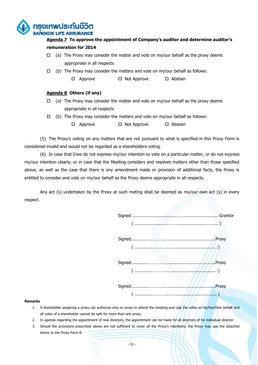

# **Agenda 7 To approve the appointment of Company's auditor and determine auditor's remuneration for 2014**

- $\Box$  (a) The Proxy may consider the matter and vote on my/our behalf as the proxy deems appropriate in all respects
- $\Box$  (b) The Proxy may consider the matters and vote on my/our behalf as follows:
	- $\Box$  Approve  $\Box$  Not Approve  $\Box$  Abstain

# **Agenda 8 Others (if any)**

- $\Box$  (a) The Proxy may consider the matter and vote on my/our behalf as the proxy deems appropriate in all respects
- $\Box$  (b) The Proxy may consider the matters and vote on my/our behalf as follows:
	- $\Box$  Approve  $\Box$  Not Approve  $\Box$  Abstain

(5) The Proxy's voting on any matters that are not pursuant to what is specified in this Proxy Form is considered invalid and would not be regarded as a shareholders voting.

(6) In case that I/we do not express my/our intention to vote on a particular matter, or do not express my/our intention clearly, or in case that the Meeting considers and resolves matters other than those specified above, as well as the case that there is any amendment made or provision of additional facts, the Proxy is entitled to consider and vote on my/our behalf as the Proxy deems appropriate in all respects.

Any act (s) undertaken by the Proxy at such meting shall be deemed as my/our own act (s) in every respect.



#### **Remarks**

- 1. A shareholder assigning a proxy can authorize only on proxy to attend the meeting and cast the votes on his/her/their behalf and all votes of a shareholder cannot be split for more than one proxy.
- 2. In agenda regarding the appointment of new directors, the appointment can be made for all directors of for individual director.
- 3. Should the provisions prescribed above are not sufficient to cover all the Proxy's intentions; the Proxy may use the attached Annex to the Proxy Form B.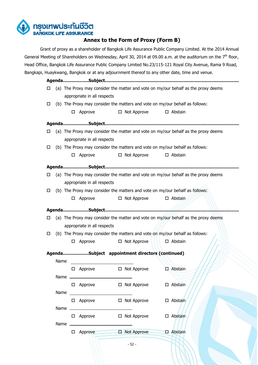

# **Annex to the Form of Proxy (Form B)**

Grant of proxy as a shareholder of Bangkok Life Assurance Public Company Limited. At the 2014 Annual General Meeting of Shareholders on Wednesday, April 30, 2014 at 09.00 a.m. at the auditorium on the  $7<sup>th</sup>$  floor, Head Office, Bangkok Life Assurance Public Company Limited No.23/115-121 Royal City Avenue, Rama 9 Road, Bangkapi, Huaykwang, Bangkok or at any adjournment thereof to any other date, time and venue.

**Agenda...................Subject...................................................................................................**  $\Box$  (a) The Proxy may consider the matter and vote on my/our behalf as the proxy deems appropriate in all respects

- $\Box$  (b) The Proxy may consider the matters and vote on my/our behalf as follows:
	- $\Box$  Approve  $\Box$  Not Approve  $\Box$  Abstain
- **Agenda...................Subject...................................................................................................**  $\Box$  (a) The Proxy may consider the matter and vote on my/our behalf as the proxy deems appropriate in all respects  $\Box$  (b) The Proxy may consider the matters and vote on my/our behalf as follows:  $\Box$  Approve  $\Box$  Not Approve  $\Box$  Abstain **Agenda...................Subject...................................................................................................**  $\Box$  (a) The Proxy may consider the matter and vote on my/our behalf as the proxy deems appropriate in all respects  $\Box$  (b) The Proxy may consider the matters and vote on my/our behalf as follows:  $\Box$  Approve  $\Box$  Not Approve  $\Box$  Abstain

**Agenda...................Subject...................................................................................................**

- $\Box$  (a) The Proxy may consider the matter and vote on my/our behalf as the proxy deems appropriate in all respects
- $\Box$  (b) The Proxy may consider the matters and vote on my/our behalf as follows:
	-
- $\Box$  Approve  $\Box$  Not Approve  $\Box$  Abstain

| AgendaSubject appointment directors (continued) |  |  |
|-------------------------------------------------|--|--|
|-------------------------------------------------|--|--|

| Name |           |  |
|------|-----------|--|
|      | □ Approve |  |
| Name |           |  |
|      | □ Approve |  |
| Name |           |  |

Name

| □ | Approve | $\Box$ Not Approve | $\Box$ Abstain    |
|---|---------|--------------------|-------------------|
| □ | Approve | $\Box$ Not Approve | $\square$ Abstain |
| □ | Approve | $\Box$ Not Approve | $\Box$ Abstain    |

| $\Box$ Approve | $\Box$ Not Approve | □ Abstain |
|----------------|--------------------|-----------|
| Name           |                    |           |

| $\square$ Approve | $\Box$ Not Approve | $\square$ Abstain |
|-------------------|--------------------|-------------------|
|                   |                    |                   |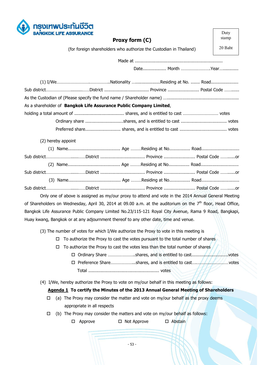

| <b>BANGKOK LIFE ASSURANCE</b>                                                                                 |                                                                                    | Duty    |
|---------------------------------------------------------------------------------------------------------------|------------------------------------------------------------------------------------|---------|
|                                                                                                               | Proxy form (C)                                                                     | stamp   |
|                                                                                                               | (for foreign shareholders who authorize the Custodian in Thailand)                 | 20 Baht |
|                                                                                                               |                                                                                    |         |
|                                                                                                               |                                                                                    |         |
|                                                                                                               |                                                                                    |         |
| Sub districtDistrict  Province  Postal Code                                                                   |                                                                                    |         |
|                                                                                                               |                                                                                    |         |
| As a shareholder of Bangkok Life Assurance Public Company Limited,                                            |                                                                                    |         |
|                                                                                                               |                                                                                    |         |
|                                                                                                               |                                                                                    |         |
|                                                                                                               |                                                                                    |         |
| (2) hereby appoint                                                                                            |                                                                                    |         |
|                                                                                                               |                                                                                    |         |
| Sub districtDistrict  Province  Postal Code or                                                                |                                                                                    |         |
|                                                                                                               |                                                                                    |         |
| Sub districtDistrict  Province  Postal Code or                                                                |                                                                                    |         |
|                                                                                                               |                                                                                    |         |
|                                                                                                               |                                                                                    |         |
| Only one of above is assigned as my/our proxy to attend and vote in the 2014 Annual General Meeting           |                                                                                    |         |
| of Shareholders on Wednesday, April 30, 2014 at 09.00 a.m. at the auditorium on the $7th$ floor, Head Office, |                                                                                    |         |
| Bangkok Life Assurance Public Company Limited No.23/115-121 Royal City Avenue, Rama 9 Road, Bangkapi,         |                                                                                    |         |
| Huay kwang, Bangkok or at any adjournment thereof to any other date, time and venue.                          |                                                                                    |         |
| (3) The number of votes for which I/We authorize the Proxy to vote in this meeting is                         |                                                                                    |         |
| □                                                                                                             | To authorize the Proxy to cast the votes pursuant to the total number of shares    |         |
| □                                                                                                             | To authorize the Proxy to cast the votes less than the total number of shares      |         |
|                                                                                                               | □ Ordinary Share shares, and is entitled to cast                                   | .votes  |
|                                                                                                               | □ Preference Shareshares, and is entitled to cast                                  | .votes  |
|                                                                                                               |                                                                                    |         |
| (4) I/We, hereby authorize the Proxy to vote on my/our behalf in this meeting as follows:                     |                                                                                    |         |
|                                                                                                               | Agenda 1 To certify the Minutes of the 2013 Annual General Meeting of Shareholders |         |
| □                                                                                                             | (a) The Proxy may consider the matter and vote on my/our behalf as the proxy deems |         |
| appropriate in all respects                                                                                   |                                                                                    |         |

- $\Box$  (b) The Proxy may consider the matters and vote on my/our behalf as follows:
	- □ Approve □ Not Approve □ Abstain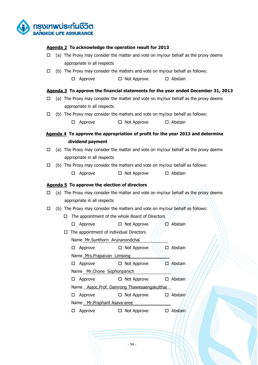

## **Agenda 2 To acknowledge the operation result for 2013**

- $\Box$  (a) The Proxy may consider the matter and vote on my/our behalf as the proxy deems appropriate in all respects
- $\Box$  (b) The Proxy may consider the matters and vote on my/our behalf as follows:
	- $\Box$  Approve  $\Box$  Not Approve  $\Box$  Abstain

# **Agenda 3 To approve the financial statements for the year ended December 31, 2013**

- $\Box$  (a) The Proxy may consider the matter and vote on my/our behalf as the proxy deems appropriate in all respects
- $\Box$  (b) The Proxy may consider the matters and vote on my/our behalf as follows:
	- $\Box$  Approve  $\Box$  Not Approve  $\Box$  Abstain
- **Agenda 4 To approve the appropriation of profit for the year 2013 and determine dividend payment**
- $\Box$  (a) The Proxy may consider the matter and vote on my/our behalf as the proxy deems appropriate in all respects
- $\Box$  (b) The Proxy may consider the matters and vote on my/our behalf as follows:
	- $\Box$  Approve  $\Box$  Not Approve  $\Box$  Abstain

# **Agenda 5 To approve the election of directors**

- $\Box$  (a) The Proxy may consider the matter and vote on my/our behalf as the proxy deems appropriate in all respects
- $\Box$  (b) The Proxy may consider the matters and vote on my/our behalf as follows:
	- $\Box$  The appointment of the whole Board of Directors

|   | Approve                                 | $\Box$ Not Approve                          |     | □ Abstain      |
|---|-----------------------------------------|---------------------------------------------|-----|----------------|
|   | The appointment of individual Directors |                                             |     |                |
|   | Name Mr.Sunthorn Arunanondchai          |                                             |     |                |
| H | Approve                                 | $\Box$ Not Approve                          |     | Abstain        |
|   | Name Mrs. Prapaivan Limsong             |                                             |     |                |
|   | Approve                                 | $\Box$ Not Approve                          | п.  | Abstain        |
|   | Name Mr.Chone Sophonpanich              |                                             |     |                |
|   | Approve                                 | $\Box$ Not Approve                          | . . | Abstain        |
|   |                                         | Name_Assoc.Prof. Damrong Thawesaengskulthai |     |                |
|   | Approve                                 | $\Box$ Not Approve                          |     | $\Box$ Abstain |
|   | Name Mr. Praphant Asava-aree            |                                             |     |                |
|   | Approve                                 | Not Approve<br>Ц                            |     | Abstain        |
|   |                                         |                                             |     |                |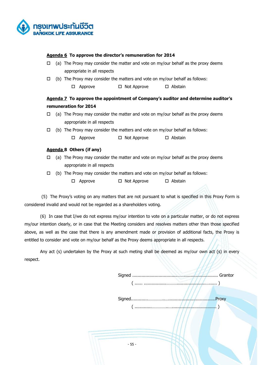

## **Agenda 6 To approve the director's remuneration for 2014**

- $\Box$  (a) The Proxy may consider the matter and vote on my/our behalf as the proxy deems appropriate in all respects
- $\Box$  (b) The Proxy may consider the matters and vote on my/our behalf as follows:

 $\Box$  Approve  $\Box$  Not Approve  $\Box$  Abstain

# **Agenda 7 To approve the appointment of Company's auditor and determine auditor's remuneration for 2014**

- $\Box$  (a) The Proxy may consider the matter and vote on my/our behalf as the proxy deems appropriate in all respects
- $\Box$  (b) The Proxy may consider the matters and vote on my/our behalf as follows:
	- $\Box$  Approve  $\Box$  Not Approve  $\Box$  Abstain

#### **Agenda 8 Others (if any)**

- $\Box$  (a) The Proxy may consider the matter and vote on my/our behalf as the proxy deems appropriate in all respects
- $\Box$  (b) The Proxy may consider the matters and vote on my/our behalf as follows:
	- $\Box$  Approve  $\Box$  Not Approve  $\Box$  Abstain

(5) The Proxy's voting on any matters that are not pursuant to what is specified in this Proxy Form is considered invalid and would not be regarded as a shareholders voting.

(6) In case that I/we do not express my/our intention to vote on a particular matter, or do not express my/our intention clearly, or in case that the Meeting considers and resolves matters other than those specified above, as well as the case that there is any amendment made or provision of additional facts, the Proxy is entitled to consider and vote on my/our behalf as the Proxy deems appropriate in all respects.

Any act (s) undertaken by the Proxy at such meting shall be deemed as my/our own act (s) in every respect.

> Signed ..................................…….......................... Grantor  $\frac{1}{1111...}$

Signed.............…………..…....................................Proxy ( .............…………..….................................. )

- 55 -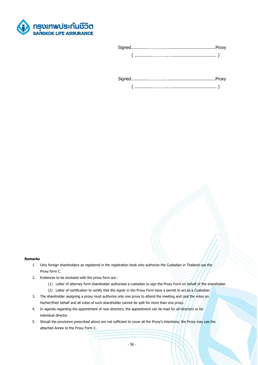

Signed.............…………..…....................................Proxy

( .............…………..….................................. )

#### **Remarks**

- 1. Only foreign shareholders as registered in the registration book who authorize the Custodian in Thailand use the Proxy form C.
- 2. Evidences to be enclosed with the proxy form are :
	- (1) Letter of attorney form shareholder authorizes a custodian to sign the Proxy Form on behalf of the shareholder.
	- (2) Letter of certification to certify that the signer in the Proxy Form have a permit to act as a Custodian.
- 3. The shareholder assigning a proxy must authorize only one proxy to attend the meeting and cast the votes on his/her/their behalf and all votes of such shareholder cannot be split for more than one proxy.
- 4. In agenda regarding the appointment of new directors, the appointment can be mad for all directors or for individual director.
- 5. Should the provisions prescribed above are not sufficient to cover all the Proxy's intentions; the Proxy may use the attached Annex to the Proxy Form C.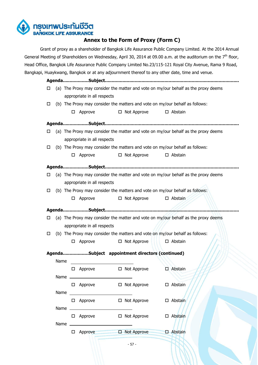

# **Annex to the Form of Proxy (Form C)**

Grant of proxy as a shareholder of Bangkok Life Assurance Public Company Limited. At the 2014 Annual General Meeting of Shareholders on Wednesday, April 30, 2014 at 09.00 a.m. at the auditorium on the  $7<sup>th</sup>$  floor, Head Office, Bangkok Life Assurance Public Company Limited No.23/115-121 Royal City Avenue, Rama 9 Road, Bangkapi, Huaykwang, Bangkok or at any adjournment thereof to any other date, time and venue.

**Agenda...................Subject...................................................................................................**  $\Box$  (a) The Proxy may consider the matter and vote on my/our behalf as the proxy deems appropriate in all respects  $\Box$  (b) The Proxy may consider the matters and vote on my/our behalf as follows:

- $\Box$  Approve  $\Box$  Not Approve  $\Box$  Abstain
- **Agenda...................Subject...................................................................................................**  $\Box$  (a) The Proxy may consider the matter and vote on my/our behalf as the proxy deems appropriate in all respects  $\Box$  (b) The Proxy may consider the matters and vote on my/our behalf as follows:  $\Box$  Approve  $\Box$  Not Approve  $\Box$  Abstain **Agenda...................Subject...................................................................................................**  $\Box$  (a) The Proxy may consider the matter and vote on my/our behalf as the proxy deems appropriate in all respects  $\Box$  (b) The Proxy may consider the matters and vote on my/our behalf as follows:  $\Box$  Approve  $\Box$  Not Approve  $\Box$  Abstain **Agenda...................Subject...................................................................................................**  $\Box$  (a) The Proxy may consider the matter and vote on my/our behalf as the proxy deems appropriate in all respects  $\Box$  (b) The Proxy may consider the matters and vote on my/our behalf as follows:

**Agenda...................Subject appointment directors (continued)**

 $\Box$  Approve  $\Box$  Not Approve  $\Box$  Abstain

| Name |   |         |    |                    |                |
|------|---|---------|----|--------------------|----------------|
| Name |   | Approve |    | $\Box$ Not Approve | Abstain<br>N   |
|      | □ | Approve |    | $\Box$ Not Approve | Abstain<br>п   |
| Name |   |         |    |                    |                |
|      | ப | Approve | □. | Not Approve        | Abstain<br>п   |
| Name |   |         |    |                    |                |
|      | ⊔ | Approve | □  | Not Approve        | Abstain        |
| Name |   |         |    |                    |                |
|      |   | Approve | Ξ. | Not Approve        | <b>Abstain</b> |